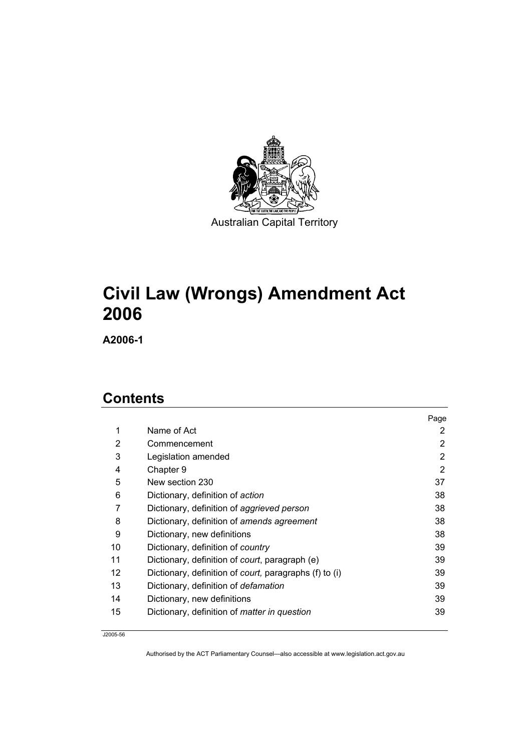

# **Civil Law (Wrongs) Amendment Act**

**A2006-1** 

## **Contents**

|    |                                                                | Page           |
|----|----------------------------------------------------------------|----------------|
| 1  | Name of Act                                                    | 2              |
| 2  | Commencement                                                   | $\overline{2}$ |
| 3  | Legislation amended                                            | 2              |
| 4  | Chapter 9                                                      | 2              |
| 5  | New section 230                                                | 37             |
| 6  | Dictionary, definition of action                               | 38             |
| 7  | Dictionary, definition of aggrieved person                     | 38             |
| 8  | Dictionary, definition of amends agreement                     | 38             |
| 9  | Dictionary, new definitions                                    | 38             |
| 10 | Dictionary, definition of country                              | 39             |
| 11 | Dictionary, definition of court, paragraph (e)                 | 39             |
| 12 | Dictionary, definition of <i>court</i> , paragraphs (f) to (i) | 39             |
| 13 | Dictionary, definition of <i>defamation</i>                    | 39             |
| 14 | Dictionary, new definitions                                    | 39             |
| 15 | Dictionary, definition of <i>matter in question</i>            | 39             |

J2005-56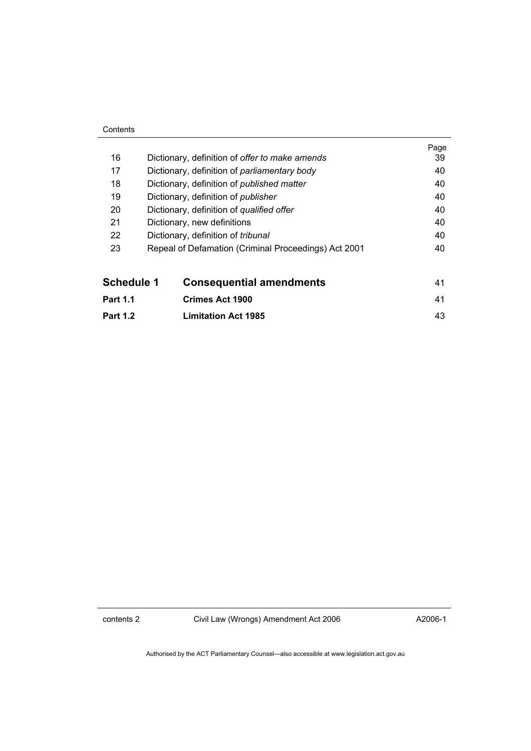#### **Contents**

| Schedule 1 | <b>Consequential amendments</b>                      | 41         |
|------------|------------------------------------------------------|------------|
| 23         | Repeal of Defamation (Criminal Proceedings) Act 2001 | 40         |
| 22         | Dictionary, definition of <i>tribunal</i>            | 40         |
| 21         | Dictionary, new definitions                          | 40         |
| 20         | Dictionary, definition of qualified offer            | 40         |
| 19         | Dictionary, definition of <i>publisher</i>           | 40         |
| 18         | Dictionary, definition of <i>published matter</i>    | 40         |
| 17         | Dictionary, definition of <i>parliamentary body</i>  | 40         |
| 16         | Dictionary, definition of offer to make amends       | Page<br>39 |
|            |                                                      |            |

**Part 1.2 Limitation Act 1985** 43

contents 2 Civil Law (Wrongs) Amendment Act 2006

A2006-1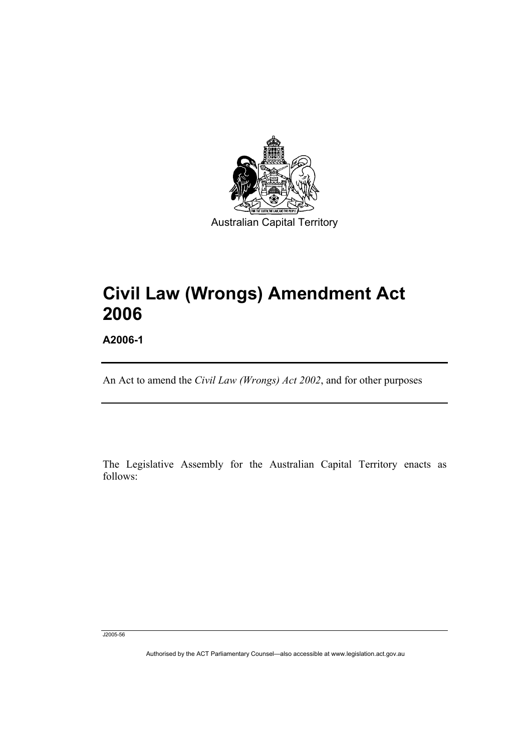

# **Civil Law (Wrongs) Amendment Act 2006**

**A2006-1** 

I

An Act to amend the *Civil Law (Wrongs) Act 2002*, and for other purposes

The Legislative Assembly for the Australian Capital Territory enacts as follows:

J2005-56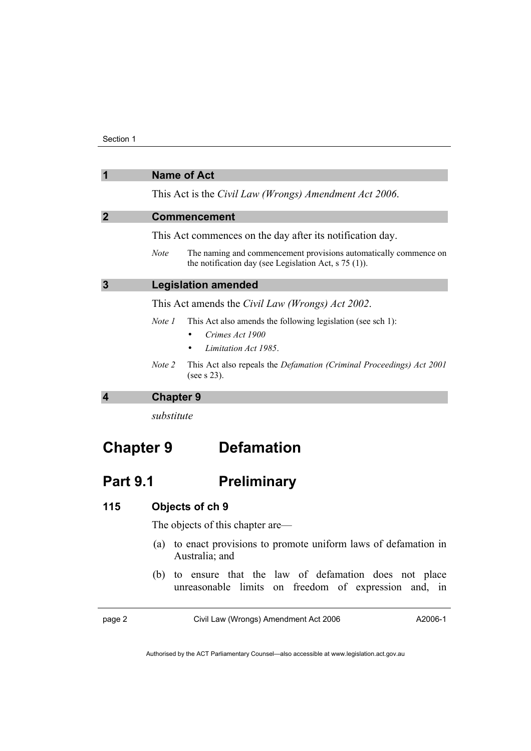| $\overline{1}$          | <b>Name of Act</b>                                                                                                                         |
|-------------------------|--------------------------------------------------------------------------------------------------------------------------------------------|
|                         | This Act is the Civil Law (Wrongs) Amendment Act 2006.                                                                                     |
| $\overline{2}$          | <b>Commencement</b>                                                                                                                        |
|                         | This Act commences on the day after its notification day.                                                                                  |
|                         | The naming and commencement provisions automatically commence on<br><b>Note</b><br>the notification day (see Legislation Act, $s$ 75 (1)). |
| $\mathbf{3}$            | <b>Legislation amended</b>                                                                                                                 |
|                         | This Act amends the <i>Civil Law (Wrongs) Act 2002</i> .                                                                                   |
|                         | This Act also amends the following legislation (see sch 1):<br>Note 1<br>Crimes Act 1900                                                   |
|                         | Limitation Act 1985                                                                                                                        |
|                         | This Act also repeals the <i>Defamation (Criminal Proceedings) Act 2001</i><br>Note 2<br>(see $s$ 23).                                     |
| $\overline{\mathbf{4}}$ | <b>Chapter 9</b>                                                                                                                           |
|                         | substitute                                                                                                                                 |

# **Chapter 9 Defamation**

## Part 9.1 **Preliminary**

## **115 Objects of ch 9**

The objects of this chapter are—

- (a) to enact provisions to promote uniform laws of defamation in Australia; and
- (b) to ensure that the law of defamation does not place unreasonable limits on freedom of expression and, in

page 2 Civil Law (Wrongs) Amendment Act 2006

A2006-1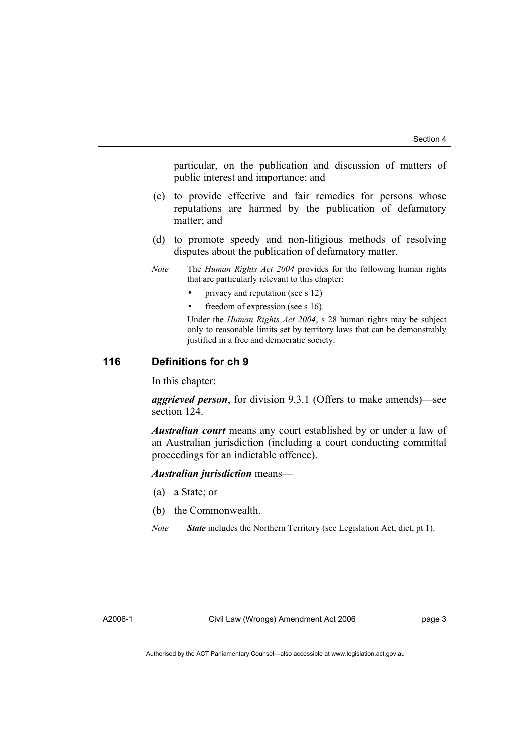particular, on the publication and discussion of matters of public interest and importance; and

- (c) to provide effective and fair remedies for persons whose reputations are harmed by the publication of defamatory matter; and
- (d) to promote speedy and non-litigious methods of resolving disputes about the publication of defamatory matter.
- *Note* The *Human Rights Act 2004* provides for the following human rights that are particularly relevant to this chapter:
	- privacy and reputation (see s 12)
	- freedom of expression (see s 16).

Under the *Human Rights Act 2004*, s 28 human rights may be subject only to reasonable limits set by territory laws that can be demonstrably justified in a free and democratic society.

#### **116 Definitions for ch 9**

In this chapter:

*aggrieved person*, for division 9.3.1 (Offers to make amends)—see section 124.

*Australian court* means any court established by or under a law of an Australian jurisdiction (including a court conducting committal proceedings for an indictable offence).

*Australian jurisdiction* means—

- (a) a State; or
- (b) the Commonwealth.
- *Note State* includes the Northern Territory (see Legislation Act, dict, pt 1).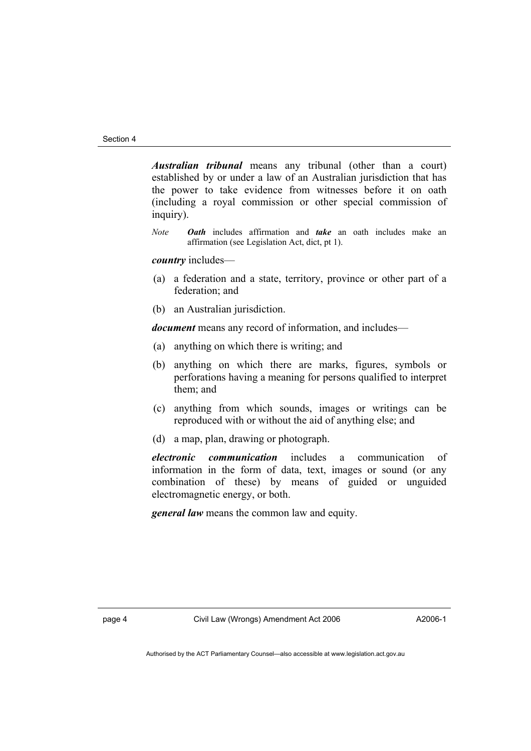*Australian tribunal* means any tribunal (other than a court) established by or under a law of an Australian jurisdiction that has the power to take evidence from witnesses before it on oath (including a royal commission or other special commission of inquiry).

*Note Oath* includes affirmation and *take* an oath includes make an affirmation (see Legislation Act, dict, pt 1).

*country* includes—

- (a) a federation and a state, territory, province or other part of a federation; and
- (b) an Australian jurisdiction.

*document* means any record of information, and includes—

- (a) anything on which there is writing; and
- (b) anything on which there are marks, figures, symbols or perforations having a meaning for persons qualified to interpret them; and
- (c) anything from which sounds, images or writings can be reproduced with or without the aid of anything else; and
- (d) a map, plan, drawing or photograph.

*electronic communication* includes a communication of information in the form of data, text, images or sound (or any combination of these) by means of guided or unguided electromagnetic energy, or both.

*general law* means the common law and equity.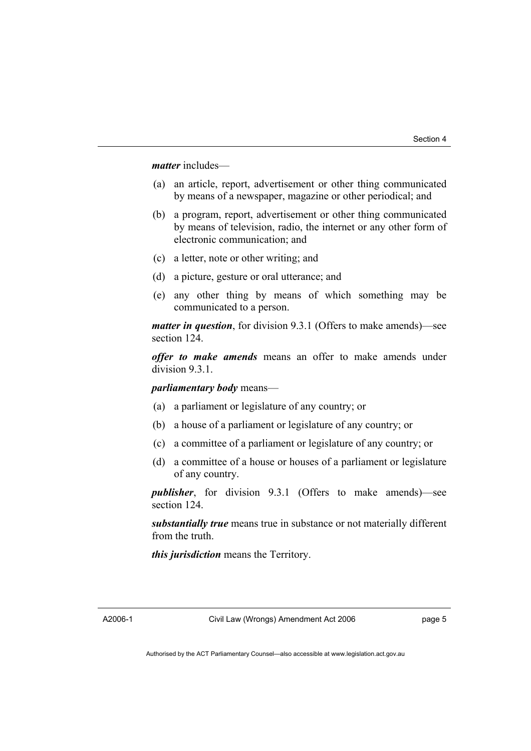#### *matter* includes—

- (a) an article, report, advertisement or other thing communicated by means of a newspaper, magazine or other periodical; and
- (b) a program, report, advertisement or other thing communicated by means of television, radio, the internet or any other form of electronic communication; and
- (c) a letter, note or other writing; and
- (d) a picture, gesture or oral utterance; and
- (e) any other thing by means of which something may be communicated to a person.

*matter in question*, for division 9.3.1 (Offers to make amends)—see section 124.

*offer to make amends* means an offer to make amends under division 9.3.1.

*parliamentary body* means—

- (a) a parliament or legislature of any country; or
- (b) a house of a parliament or legislature of any country; or
- (c) a committee of a parliament or legislature of any country; or
- (d) a committee of a house or houses of a parliament or legislature of any country.

*publisher*, for division 9.3.1 (Offers to make amends)—see section 124.

*substantially true* means true in substance or not materially different from the truth.

*this jurisdiction* means the Territory.

A2006-1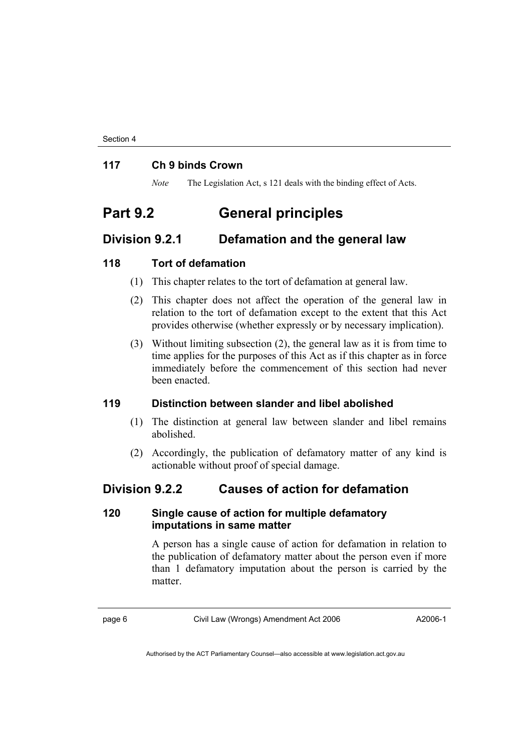#### **117 Ch 9 binds Crown**

*Note* The Legislation Act, s 121 deals with the binding effect of Acts.

## **Part 9.2 General principles**

### **Division 9.2.1 Defamation and the general law**

#### **118 Tort of defamation**

- (1) This chapter relates to the tort of defamation at general law.
- (2) This chapter does not affect the operation of the general law in relation to the tort of defamation except to the extent that this Act provides otherwise (whether expressly or by necessary implication).
- (3) Without limiting subsection (2), the general law as it is from time to time applies for the purposes of this Act as if this chapter as in force immediately before the commencement of this section had never been enacted.

#### **119 Distinction between slander and libel abolished**

- (1) The distinction at general law between slander and libel remains abolished.
- (2) Accordingly, the publication of defamatory matter of any kind is actionable without proof of special damage.

## **Division 9.2.2 Causes of action for defamation**

#### **120 Single cause of action for multiple defamatory imputations in same matter**

A person has a single cause of action for defamation in relation to the publication of defamatory matter about the person even if more than 1 defamatory imputation about the person is carried by the matter.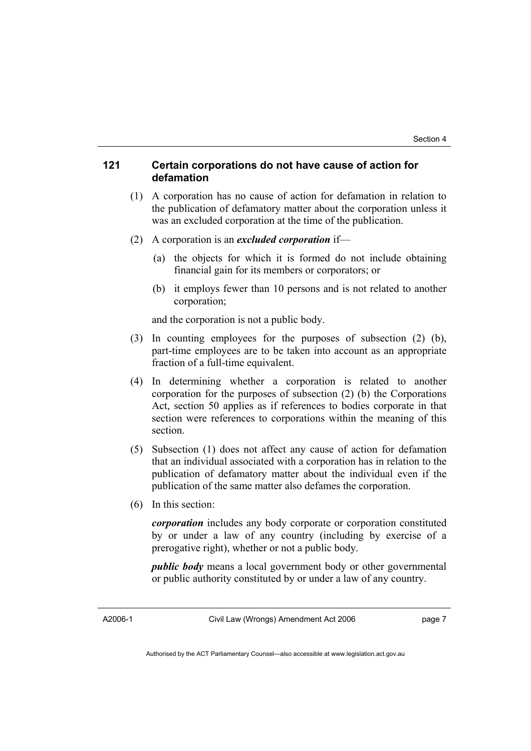#### **121 Certain corporations do not have cause of action for defamation**

- (1) A corporation has no cause of action for defamation in relation to the publication of defamatory matter about the corporation unless it was an excluded corporation at the time of the publication.
- (2) A corporation is an *excluded corporation* if—
	- (a) the objects for which it is formed do not include obtaining financial gain for its members or corporators; or
	- (b) it employs fewer than 10 persons and is not related to another corporation;

and the corporation is not a public body.

- (3) In counting employees for the purposes of subsection (2) (b), part-time employees are to be taken into account as an appropriate fraction of a full-time equivalent.
- (4) In determining whether a corporation is related to another corporation for the purposes of subsection (2) (b) the Corporations Act, section 50 applies as if references to bodies corporate in that section were references to corporations within the meaning of this section.
- (5) Subsection (1) does not affect any cause of action for defamation that an individual associated with a corporation has in relation to the publication of defamatory matter about the individual even if the publication of the same matter also defames the corporation.
- (6) In this section:

*corporation* includes any body corporate or corporation constituted by or under a law of any country (including by exercise of a prerogative right), whether or not a public body.

*public body* means a local government body or other governmental or public authority constituted by or under a law of any country.

A2006-1

Civil Law (Wrongs) Amendment Act 2006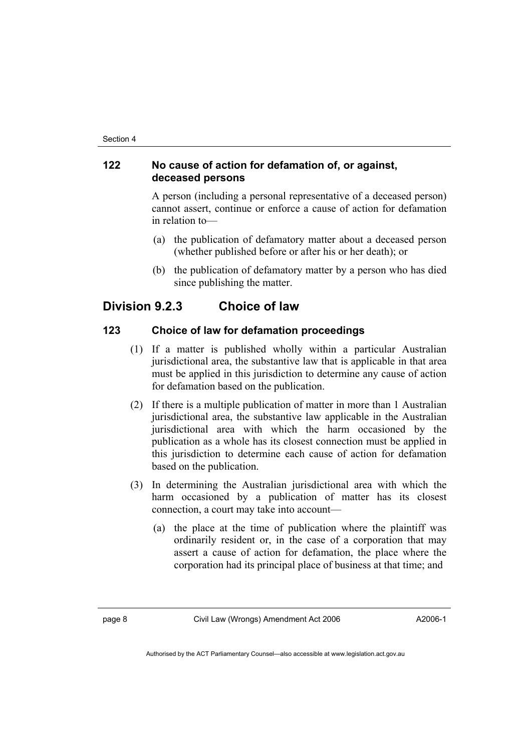#### **122 No cause of action for defamation of, or against, deceased persons**

A person (including a personal representative of a deceased person) cannot assert, continue or enforce a cause of action for defamation in relation to—

- (a) the publication of defamatory matter about a deceased person (whether published before or after his or her death); or
- (b) the publication of defamatory matter by a person who has died since publishing the matter.

## **Division 9.2.3 Choice of law**

### **123 Choice of law for defamation proceedings**

- (1) If a matter is published wholly within a particular Australian jurisdictional area, the substantive law that is applicable in that area must be applied in this jurisdiction to determine any cause of action for defamation based on the publication.
- (2) If there is a multiple publication of matter in more than 1 Australian jurisdictional area, the substantive law applicable in the Australian jurisdictional area with which the harm occasioned by the publication as a whole has its closest connection must be applied in this jurisdiction to determine each cause of action for defamation based on the publication.
- (3) In determining the Australian jurisdictional area with which the harm occasioned by a publication of matter has its closest connection, a court may take into account—
	- (a) the place at the time of publication where the plaintiff was ordinarily resident or, in the case of a corporation that may assert a cause of action for defamation, the place where the corporation had its principal place of business at that time; and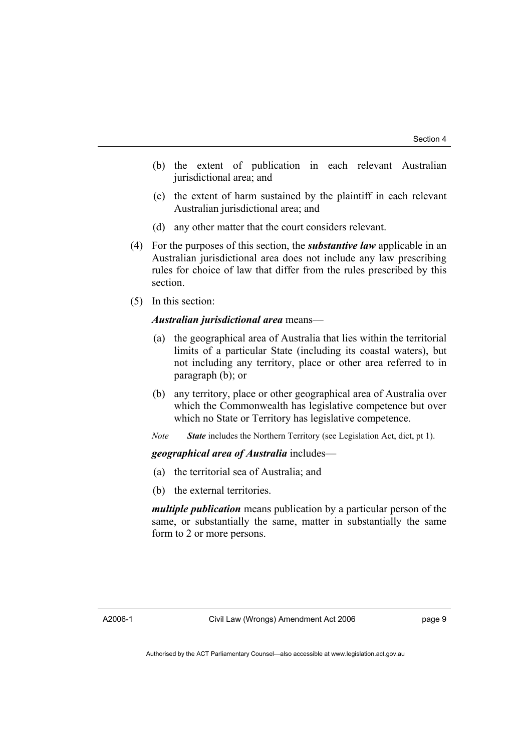- (b) the extent of publication in each relevant Australian jurisdictional area; and
- (c) the extent of harm sustained by the plaintiff in each relevant Australian jurisdictional area; and
- (d) any other matter that the court considers relevant.
- (4) For the purposes of this section, the *substantive law* applicable in an Australian jurisdictional area does not include any law prescribing rules for choice of law that differ from the rules prescribed by this section.
- (5) In this section:

#### *Australian jurisdictional area* means—

- (a) the geographical area of Australia that lies within the territorial limits of a particular State (including its coastal waters), but not including any territory, place or other area referred to in paragraph (b); or
- (b) any territory, place or other geographical area of Australia over which the Commonwealth has legislative competence but over which no State or Territory has legislative competence.
- *Note State* includes the Northern Territory (see Legislation Act, dict, pt 1).

*geographical area of Australia* includes—

- (a) the territorial sea of Australia; and
- (b) the external territories.

*multiple publication* means publication by a particular person of the same, or substantially the same, matter in substantially the same form to 2 or more persons.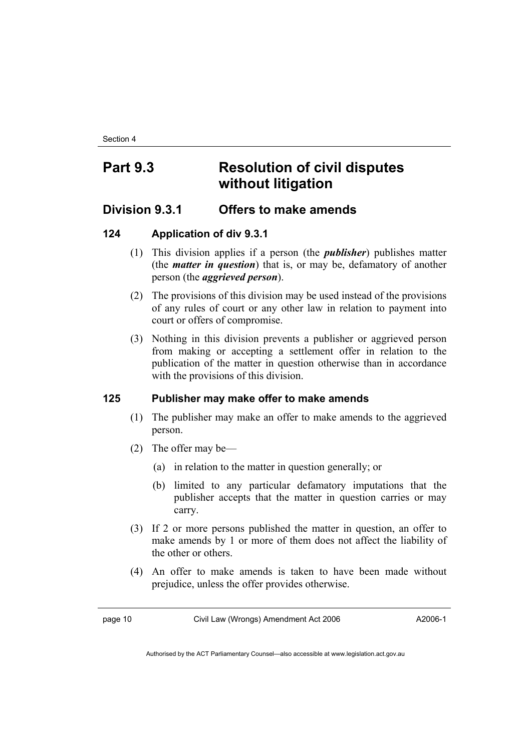## **Part 9.3 Resolution of civil disputes without litigation**

## **Division 9.3.1 Offers to make amends**

## **124 Application of div 9.3.1**

- (1) This division applies if a person (the *publisher*) publishes matter (the *matter in question*) that is, or may be, defamatory of another person (the *aggrieved person*).
- (2) The provisions of this division may be used instead of the provisions of any rules of court or any other law in relation to payment into court or offers of compromise.
- (3) Nothing in this division prevents a publisher or aggrieved person from making or accepting a settlement offer in relation to the publication of the matter in question otherwise than in accordance with the provisions of this division.

## **125 Publisher may make offer to make amends**

- (1) The publisher may make an offer to make amends to the aggrieved person.
- (2) The offer may be—
	- (a) in relation to the matter in question generally; or
	- (b) limited to any particular defamatory imputations that the publisher accepts that the matter in question carries or may carry.
- (3) If 2 or more persons published the matter in question, an offer to make amends by 1 or more of them does not affect the liability of the other or others.
- (4) An offer to make amends is taken to have been made without prejudice, unless the offer provides otherwise.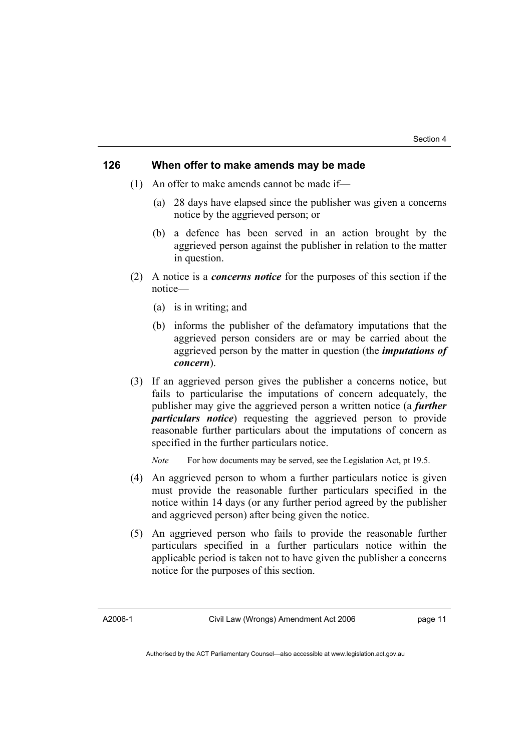#### **126 When offer to make amends may be made**

- (1) An offer to make amends cannot be made if—
	- (a) 28 days have elapsed since the publisher was given a concerns notice by the aggrieved person; or
	- (b) a defence has been served in an action brought by the aggrieved person against the publisher in relation to the matter in question.
- (2) A notice is a *concerns notice* for the purposes of this section if the notice—
	- (a) is in writing; and
	- (b) informs the publisher of the defamatory imputations that the aggrieved person considers are or may be carried about the aggrieved person by the matter in question (the *imputations of concern*).
- (3) If an aggrieved person gives the publisher a concerns notice, but fails to particularise the imputations of concern adequately, the publisher may give the aggrieved person a written notice (a *further particulars notice*) requesting the aggrieved person to provide reasonable further particulars about the imputations of concern as specified in the further particulars notice.

*Note* For how documents may be served, see the Legislation Act, pt 19.5.

- (4) An aggrieved person to whom a further particulars notice is given must provide the reasonable further particulars specified in the notice within 14 days (or any further period agreed by the publisher and aggrieved person) after being given the notice.
- (5) An aggrieved person who fails to provide the reasonable further particulars specified in a further particulars notice within the applicable period is taken not to have given the publisher a concerns notice for the purposes of this section.

A2006-1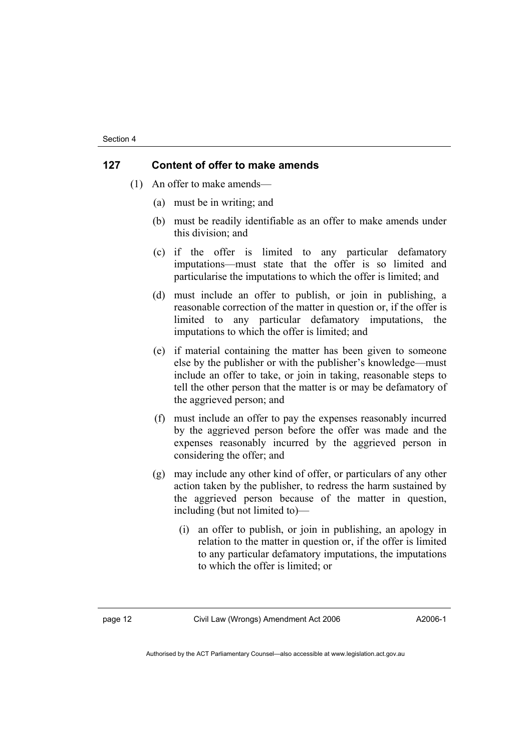#### **127 Content of offer to make amends**

- (1) An offer to make amends—
	- (a) must be in writing; and
	- (b) must be readily identifiable as an offer to make amends under this division; and
	- (c) if the offer is limited to any particular defamatory imputations—must state that the offer is so limited and particularise the imputations to which the offer is limited; and
	- (d) must include an offer to publish, or join in publishing, a reasonable correction of the matter in question or, if the offer is limited to any particular defamatory imputations, the imputations to which the offer is limited; and
	- (e) if material containing the matter has been given to someone else by the publisher or with the publisher's knowledge—must include an offer to take, or join in taking, reasonable steps to tell the other person that the matter is or may be defamatory of the aggrieved person; and
	- (f) must include an offer to pay the expenses reasonably incurred by the aggrieved person before the offer was made and the expenses reasonably incurred by the aggrieved person in considering the offer; and
	- (g) may include any other kind of offer, or particulars of any other action taken by the publisher, to redress the harm sustained by the aggrieved person because of the matter in question, including (but not limited to)—
		- (i) an offer to publish, or join in publishing, an apology in relation to the matter in question or, if the offer is limited to any particular defamatory imputations, the imputations to which the offer is limited; or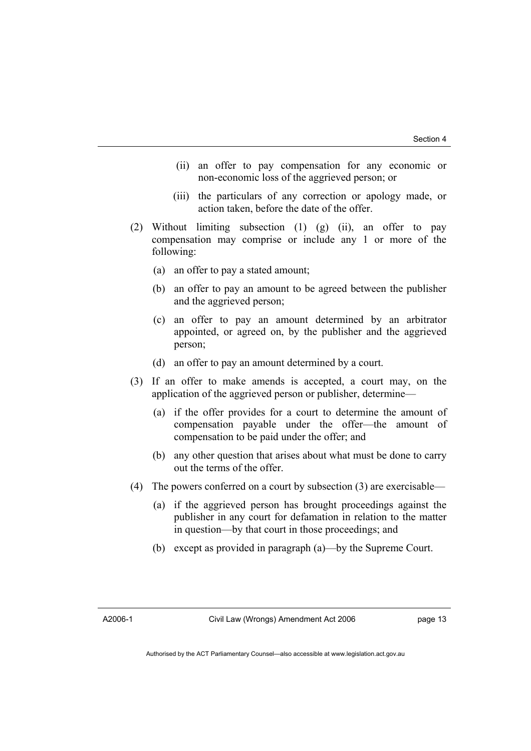- (ii) an offer to pay compensation for any economic or non-economic loss of the aggrieved person; or
- (iii) the particulars of any correction or apology made, or action taken, before the date of the offer.
- (2) Without limiting subsection (1) (g) (ii), an offer to pay compensation may comprise or include any 1 or more of the following:
	- (a) an offer to pay a stated amount;
	- (b) an offer to pay an amount to be agreed between the publisher and the aggrieved person;
	- (c) an offer to pay an amount determined by an arbitrator appointed, or agreed on, by the publisher and the aggrieved person;
	- (d) an offer to pay an amount determined by a court.
- (3) If an offer to make amends is accepted, a court may, on the application of the aggrieved person or publisher, determine—
	- (a) if the offer provides for a court to determine the amount of compensation payable under the offer—the amount of compensation to be paid under the offer; and
	- (b) any other question that arises about what must be done to carry out the terms of the offer.
- (4) The powers conferred on a court by subsection (3) are exercisable—
	- (a) if the aggrieved person has brought proceedings against the publisher in any court for defamation in relation to the matter in question—by that court in those proceedings; and
	- (b) except as provided in paragraph (a)—by the Supreme Court.

A2006-1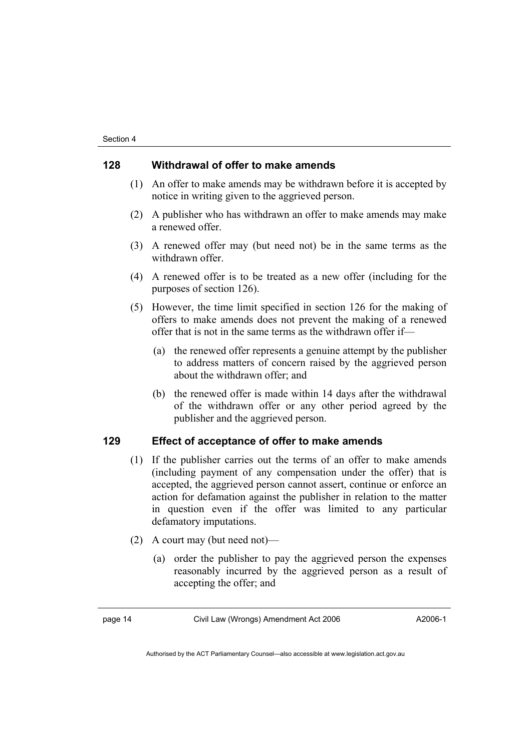#### **128 Withdrawal of offer to make amends**

- (1) An offer to make amends may be withdrawn before it is accepted by notice in writing given to the aggrieved person.
- (2) A publisher who has withdrawn an offer to make amends may make a renewed offer.
- (3) A renewed offer may (but need not) be in the same terms as the withdrawn offer.
- (4) A renewed offer is to be treated as a new offer (including for the purposes of section 126).
- (5) However, the time limit specified in section 126 for the making of offers to make amends does not prevent the making of a renewed offer that is not in the same terms as the withdrawn offer if—
	- (a) the renewed offer represents a genuine attempt by the publisher to address matters of concern raised by the aggrieved person about the withdrawn offer; and
	- (b) the renewed offer is made within 14 days after the withdrawal of the withdrawn offer or any other period agreed by the publisher and the aggrieved person.

#### **129 Effect of acceptance of offer to make amends**

- (1) If the publisher carries out the terms of an offer to make amends (including payment of any compensation under the offer) that is accepted, the aggrieved person cannot assert, continue or enforce an action for defamation against the publisher in relation to the matter in question even if the offer was limited to any particular defamatory imputations.
- (2) A court may (but need not)—
	- (a) order the publisher to pay the aggrieved person the expenses reasonably incurred by the aggrieved person as a result of accepting the offer; and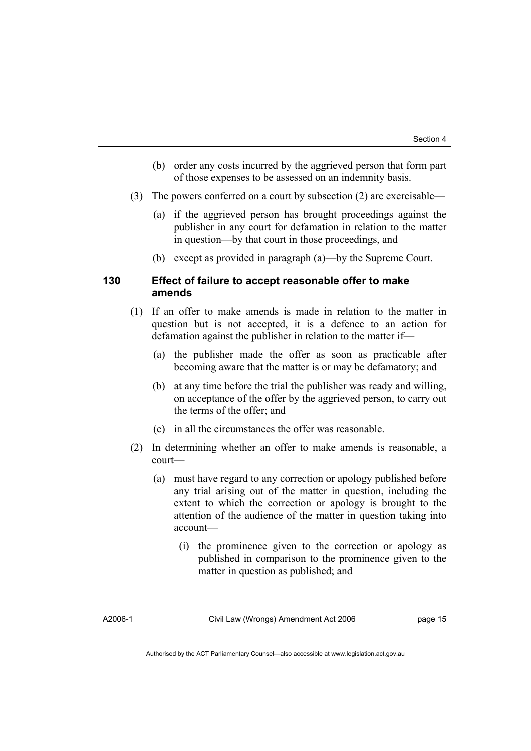- (b) order any costs incurred by the aggrieved person that form part of those expenses to be assessed on an indemnity basis.
- (3) The powers conferred on a court by subsection (2) are exercisable—
	- (a) if the aggrieved person has brought proceedings against the publisher in any court for defamation in relation to the matter in question—by that court in those proceedings, and
	- (b) except as provided in paragraph (a)—by the Supreme Court.

#### **130 Effect of failure to accept reasonable offer to make amends**

- (1) If an offer to make amends is made in relation to the matter in question but is not accepted, it is a defence to an action for defamation against the publisher in relation to the matter if—
	- (a) the publisher made the offer as soon as practicable after becoming aware that the matter is or may be defamatory; and
	- (b) at any time before the trial the publisher was ready and willing, on acceptance of the offer by the aggrieved person, to carry out the terms of the offer; and
	- (c) in all the circumstances the offer was reasonable.
- (2) In determining whether an offer to make amends is reasonable, a court—
	- (a) must have regard to any correction or apology published before any trial arising out of the matter in question, including the extent to which the correction or apology is brought to the attention of the audience of the matter in question taking into account—
		- (i) the prominence given to the correction or apology as published in comparison to the prominence given to the matter in question as published; and

A2006-1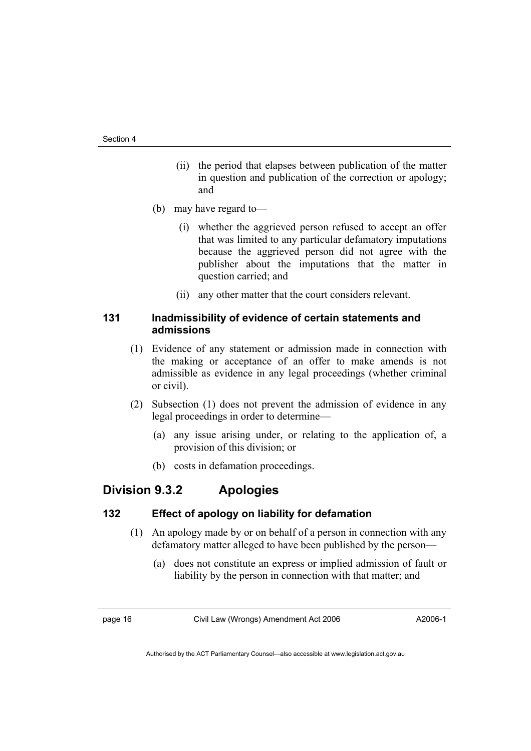- (ii) the period that elapses between publication of the matter in question and publication of the correction or apology; and
- (b) may have regard to—
	- (i) whether the aggrieved person refused to accept an offer that was limited to any particular defamatory imputations because the aggrieved person did not agree with the publisher about the imputations that the matter in question carried; and
	- (ii) any other matter that the court considers relevant.

#### **131 Inadmissibility of evidence of certain statements and admissions**

- (1) Evidence of any statement or admission made in connection with the making or acceptance of an offer to make amends is not admissible as evidence in any legal proceedings (whether criminal or civil).
- (2) Subsection (1) does not prevent the admission of evidence in any legal proceedings in order to determine—
	- (a) any issue arising under, or relating to the application of, a provision of this division; or
	- (b) costs in defamation proceedings.

## **Division 9.3.2 Apologies**

#### **132 Effect of apology on liability for defamation**

- (1) An apology made by or on behalf of a person in connection with any defamatory matter alleged to have been published by the person—
	- (a) does not constitute an express or implied admission of fault or liability by the person in connection with that matter; and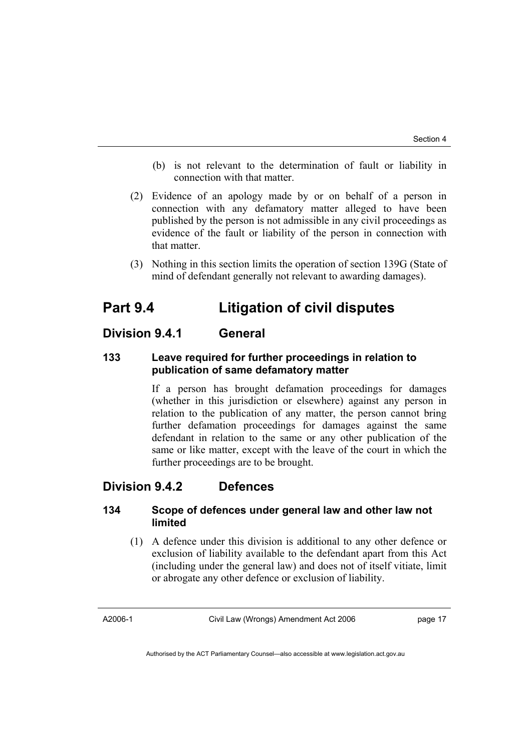- (b) is not relevant to the determination of fault or liability in connection with that matter.
- (2) Evidence of an apology made by or on behalf of a person in connection with any defamatory matter alleged to have been published by the person is not admissible in any civil proceedings as evidence of the fault or liability of the person in connection with that matter.
- (3) Nothing in this section limits the operation of section 139G (State of mind of defendant generally not relevant to awarding damages).

## **Part 9.4 Litigation of civil disputes**

## **Division 9.4.1 General**

## **133 Leave required for further proceedings in relation to publication of same defamatory matter**

If a person has brought defamation proceedings for damages (whether in this jurisdiction or elsewhere) against any person in relation to the publication of any matter, the person cannot bring further defamation proceedings for damages against the same defendant in relation to the same or any other publication of the same or like matter, except with the leave of the court in which the further proceedings are to be brought.

## **Division 9.4.2 Defences**

### **134 Scope of defences under general law and other law not limited**

 (1) A defence under this division is additional to any other defence or exclusion of liability available to the defendant apart from this Act (including under the general law) and does not of itself vitiate, limit or abrogate any other defence or exclusion of liability.

A2006-1

Civil Law (Wrongs) Amendment Act 2006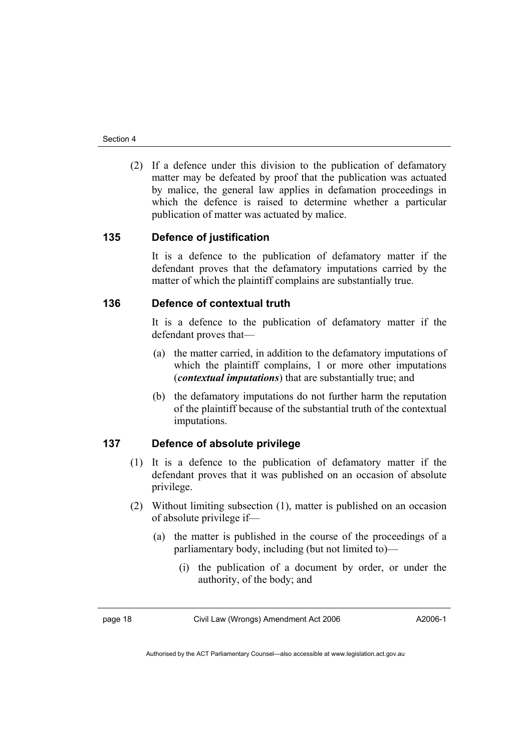(2) If a defence under this division to the publication of defamatory matter may be defeated by proof that the publication was actuated by malice, the general law applies in defamation proceedings in which the defence is raised to determine whether a particular publication of matter was actuated by malice.

### **135 Defence of justification**

It is a defence to the publication of defamatory matter if the defendant proves that the defamatory imputations carried by the matter of which the plaintiff complains are substantially true.

### **136 Defence of contextual truth**

It is a defence to the publication of defamatory matter if the defendant proves that—

- (a) the matter carried, in addition to the defamatory imputations of which the plaintiff complains, 1 or more other imputations (*contextual imputations*) that are substantially true; and
- (b) the defamatory imputations do not further harm the reputation of the plaintiff because of the substantial truth of the contextual imputations.

## **137 Defence of absolute privilege**

- (1) It is a defence to the publication of defamatory matter if the defendant proves that it was published on an occasion of absolute privilege.
- (2) Without limiting subsection (1), matter is published on an occasion of absolute privilege if—
	- (a) the matter is published in the course of the proceedings of a parliamentary body, including (but not limited to)—
		- (i) the publication of a document by order, or under the authority, of the body; and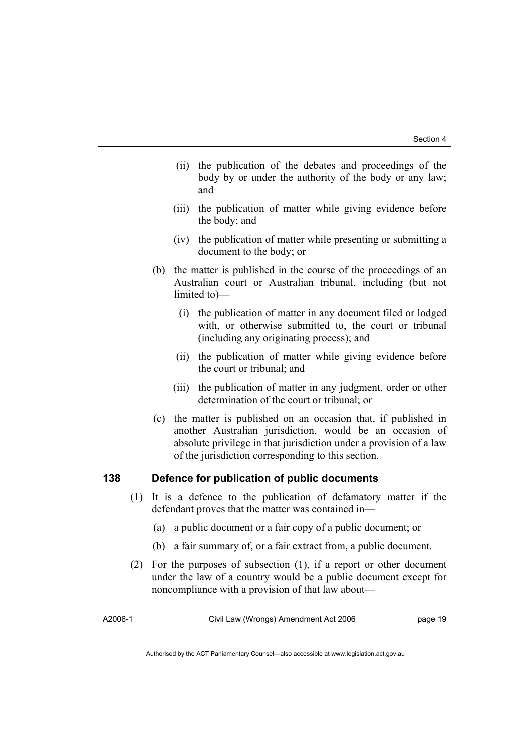- (ii) the publication of the debates and proceedings of the body by or under the authority of the body or any law; and
- (iii) the publication of matter while giving evidence before the body; and
- (iv) the publication of matter while presenting or submitting a document to the body; or
- (b) the matter is published in the course of the proceedings of an Australian court or Australian tribunal, including (but not limited to)—
	- (i) the publication of matter in any document filed or lodged with, or otherwise submitted to, the court or tribunal (including any originating process); and
	- (ii) the publication of matter while giving evidence before the court or tribunal; and
	- (iii) the publication of matter in any judgment, order or other determination of the court or tribunal; or
- (c) the matter is published on an occasion that, if published in another Australian jurisdiction, would be an occasion of absolute privilege in that jurisdiction under a provision of a law of the jurisdiction corresponding to this section.

#### **138 Defence for publication of public documents**

- (1) It is a defence to the publication of defamatory matter if the defendant proves that the matter was contained in—
	- (a) a public document or a fair copy of a public document; or
	- (b) a fair summary of, or a fair extract from, a public document.
- (2) For the purposes of subsection (1), if a report or other document under the law of a country would be a public document except for noncompliance with a provision of that law about—

A2006-1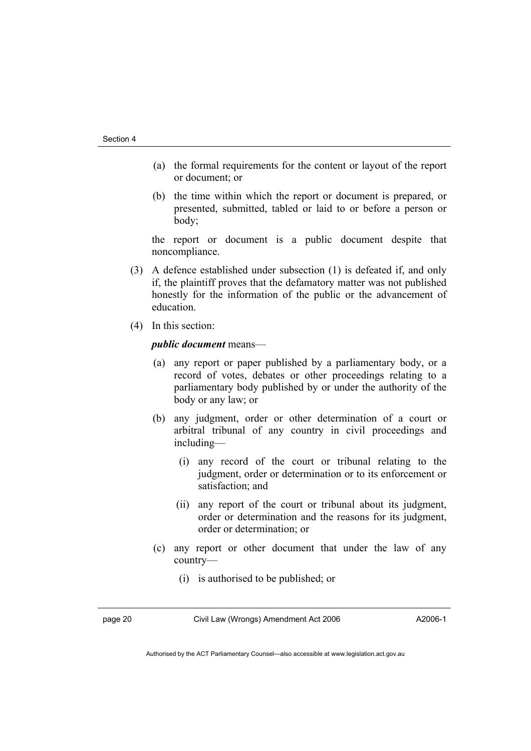- (a) the formal requirements for the content or layout of the report or document; or
- (b) the time within which the report or document is prepared, or presented, submitted, tabled or laid to or before a person or body;

the report or document is a public document despite that noncompliance.

- (3) A defence established under subsection (1) is defeated if, and only if, the plaintiff proves that the defamatory matter was not published honestly for the information of the public or the advancement of education.
- (4) In this section:

#### *public document* means—

- (a) any report or paper published by a parliamentary body, or a record of votes, debates or other proceedings relating to a parliamentary body published by or under the authority of the body or any law; or
- (b) any judgment, order or other determination of a court or arbitral tribunal of any country in civil proceedings and including—
	- (i) any record of the court or tribunal relating to the judgment, order or determination or to its enforcement or satisfaction; and
	- (ii) any report of the court or tribunal about its judgment, order or determination and the reasons for its judgment, order or determination; or
- (c) any report or other document that under the law of any country—
	- (i) is authorised to be published; or

page 20 Civil Law (Wrongs) Amendment Act 2006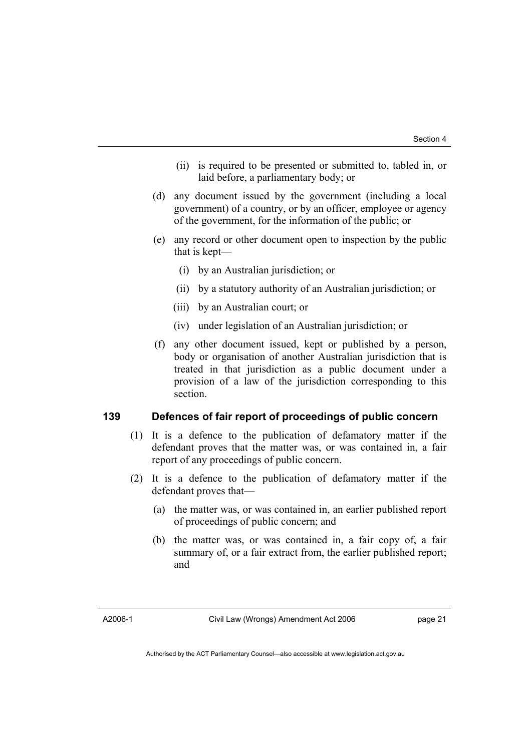- (ii) is required to be presented or submitted to, tabled in, or laid before, a parliamentary body; or
- (d) any document issued by the government (including a local government) of a country, or by an officer, employee or agency of the government, for the information of the public; or
- (e) any record or other document open to inspection by the public that is kept—
	- (i) by an Australian jurisdiction; or
	- (ii) by a statutory authority of an Australian jurisdiction; or
	- (iii) by an Australian court; or
	- (iv) under legislation of an Australian jurisdiction; or
- (f) any other document issued, kept or published by a person, body or organisation of another Australian jurisdiction that is treated in that jurisdiction as a public document under a provision of a law of the jurisdiction corresponding to this section.

#### **139 Defences of fair report of proceedings of public concern**

- (1) It is a defence to the publication of defamatory matter if the defendant proves that the matter was, or was contained in, a fair report of any proceedings of public concern.
- (2) It is a defence to the publication of defamatory matter if the defendant proves that—
	- (a) the matter was, or was contained in, an earlier published report of proceedings of public concern; and
	- (b) the matter was, or was contained in, a fair copy of, a fair summary of, or a fair extract from, the earlier published report; and

A2006-1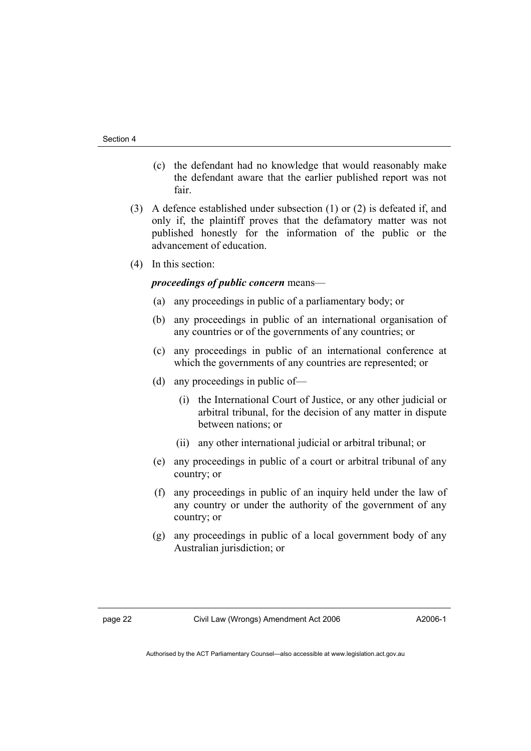- (c) the defendant had no knowledge that would reasonably make the defendant aware that the earlier published report was not fair.
- (3) A defence established under subsection (1) or (2) is defeated if, and only if, the plaintiff proves that the defamatory matter was not published honestly for the information of the public or the advancement of education.
- (4) In this section:

#### *proceedings of public concern* means—

- (a) any proceedings in public of a parliamentary body; or
- (b) any proceedings in public of an international organisation of any countries or of the governments of any countries; or
- (c) any proceedings in public of an international conference at which the governments of any countries are represented; or
- (d) any proceedings in public of—
	- (i) the International Court of Justice, or any other judicial or arbitral tribunal, for the decision of any matter in dispute between nations; or
	- (ii) any other international judicial or arbitral tribunal; or
- (e) any proceedings in public of a court or arbitral tribunal of any country; or
- (f) any proceedings in public of an inquiry held under the law of any country or under the authority of the government of any country; or
- (g) any proceedings in public of a local government body of any Australian jurisdiction; or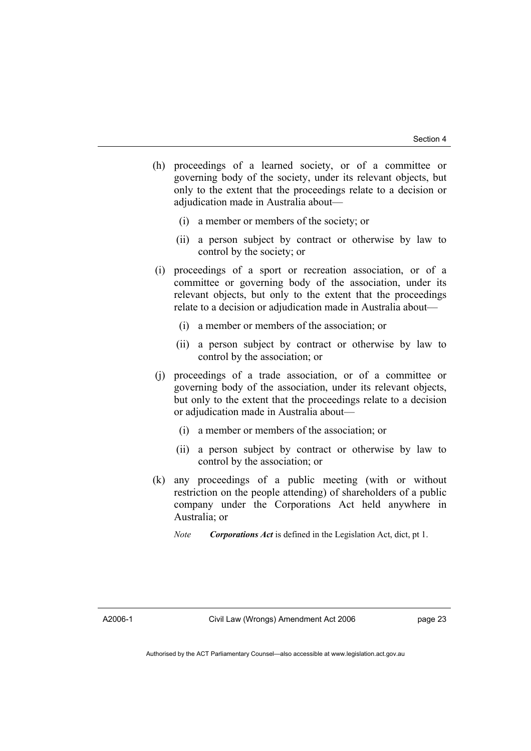- (h) proceedings of a learned society, or of a committee or governing body of the society, under its relevant objects, but only to the extent that the proceedings relate to a decision or adjudication made in Australia about—
	- (i) a member or members of the society; or
	- (ii) a person subject by contract or otherwise by law to control by the society; or
- (i) proceedings of a sport or recreation association, or of a committee or governing body of the association, under its relevant objects, but only to the extent that the proceedings relate to a decision or adjudication made in Australia about—
	- (i) a member or members of the association; or
	- (ii) a person subject by contract or otherwise by law to control by the association; or
- (j) proceedings of a trade association, or of a committee or governing body of the association, under its relevant objects, but only to the extent that the proceedings relate to a decision or adjudication made in Australia about—
	- (i) a member or members of the association; or
	- (ii) a person subject by contract or otherwise by law to control by the association; or
- (k) any proceedings of a public meeting (with or without restriction on the people attending) of shareholders of a public company under the Corporations Act held anywhere in Australia; or
	- *Note Corporations Act* is defined in the Legislation Act, dict, pt 1.

A2006-1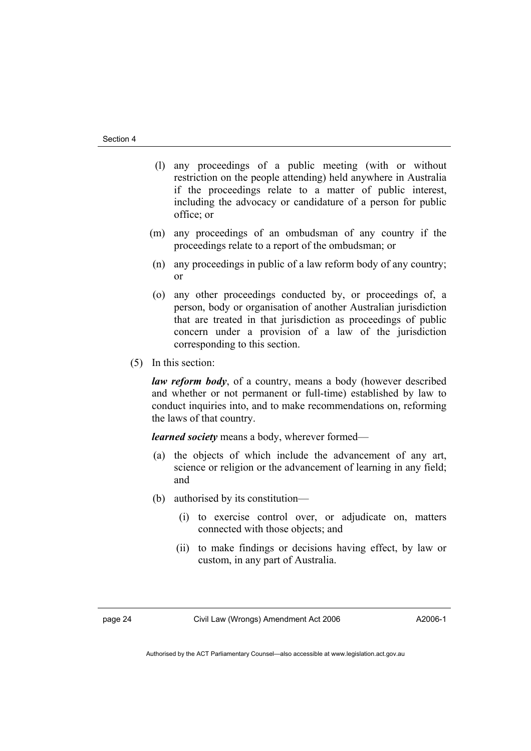- (l) any proceedings of a public meeting (with or without restriction on the people attending) held anywhere in Australia if the proceedings relate to a matter of public interest, including the advocacy or candidature of a person for public office; or
- (m) any proceedings of an ombudsman of any country if the proceedings relate to a report of the ombudsman; or
- (n) any proceedings in public of a law reform body of any country; or
- (o) any other proceedings conducted by, or proceedings of, a person, body or organisation of another Australian jurisdiction that are treated in that jurisdiction as proceedings of public concern under a provision of a law of the jurisdiction corresponding to this section.
- (5) In this section:

*law reform body*, of a country, means a body (however described and whether or not permanent or full-time) established by law to conduct inquiries into, and to make recommendations on, reforming the laws of that country.

*learned society* means a body, wherever formed—

- (a) the objects of which include the advancement of any art, science or religion or the advancement of learning in any field; and
- (b) authorised by its constitution—
	- (i) to exercise control over, or adjudicate on, matters connected with those objects; and
	- (ii) to make findings or decisions having effect, by law or custom, in any part of Australia.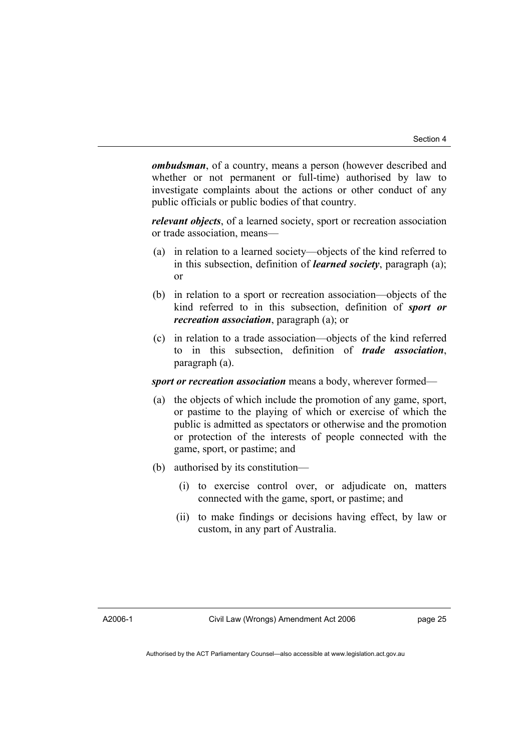*ombudsman*, of a country, means a person (however described and whether or not permanent or full-time) authorised by law to investigate complaints about the actions or other conduct of any public officials or public bodies of that country.

*relevant objects*, of a learned society, sport or recreation association or trade association, means—

- (a) in relation to a learned society—objects of the kind referred to in this subsection, definition of *learned society*, paragraph (a); or
- (b) in relation to a sport or recreation association—objects of the kind referred to in this subsection, definition of *sport or recreation association*, paragraph (a); or
- (c) in relation to a trade association—objects of the kind referred to in this subsection, definition of *trade association*, paragraph (a).

*sport or recreation association* means a body, wherever formed—

- (a) the objects of which include the promotion of any game, sport, or pastime to the playing of which or exercise of which the public is admitted as spectators or otherwise and the promotion or protection of the interests of people connected with the game, sport, or pastime; and
- (b) authorised by its constitution—
	- (i) to exercise control over, or adjudicate on, matters connected with the game, sport, or pastime; and
	- (ii) to make findings or decisions having effect, by law or custom, in any part of Australia.

A2006-1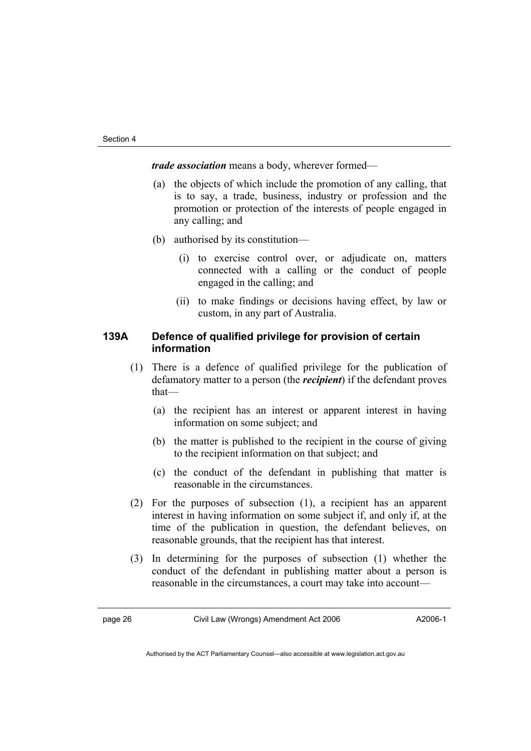*trade association* means a body, wherever formed—

- (a) the objects of which include the promotion of any calling, that is to say, a trade, business, industry or profession and the promotion or protection of the interests of people engaged in any calling; and
- (b) authorised by its constitution—
	- (i) to exercise control over, or adjudicate on, matters connected with a calling or the conduct of people engaged in the calling; and
	- (ii) to make findings or decisions having effect, by law or custom, in any part of Australia.

#### **139A Defence of qualified privilege for provision of certain information**

- (1) There is a defence of qualified privilege for the publication of defamatory matter to a person (the *recipient*) if the defendant proves that—
	- (a) the recipient has an interest or apparent interest in having information on some subject; and
	- (b) the matter is published to the recipient in the course of giving to the recipient information on that subject; and
	- (c) the conduct of the defendant in publishing that matter is reasonable in the circumstances.
- (2) For the purposes of subsection (1), a recipient has an apparent interest in having information on some subject if, and only if, at the time of the publication in question, the defendant believes, on reasonable grounds, that the recipient has that interest.
- (3) In determining for the purposes of subsection (1) whether the conduct of the defendant in publishing matter about a person is reasonable in the circumstances, a court may take into account—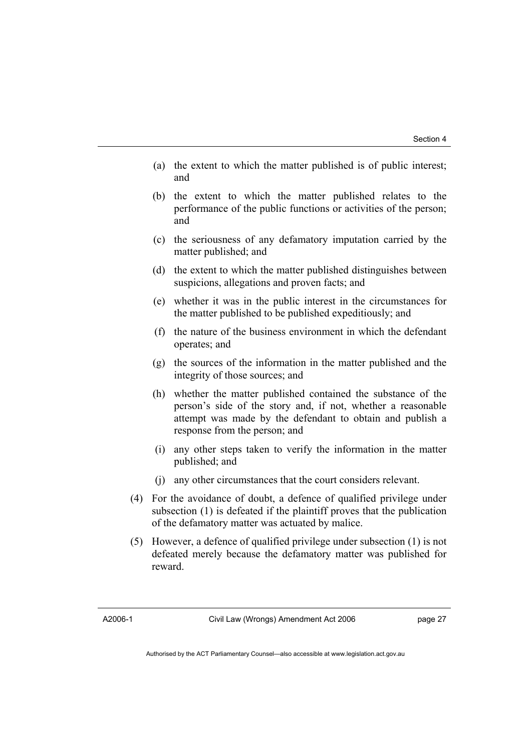- (a) the extent to which the matter published is of public interest; and
- (b) the extent to which the matter published relates to the performance of the public functions or activities of the person; and
- (c) the seriousness of any defamatory imputation carried by the matter published; and
- (d) the extent to which the matter published distinguishes between suspicions, allegations and proven facts; and
- (e) whether it was in the public interest in the circumstances for the matter published to be published expeditiously; and
- (f) the nature of the business environment in which the defendant operates; and
- (g) the sources of the information in the matter published and the integrity of those sources; and
- (h) whether the matter published contained the substance of the person's side of the story and, if not, whether a reasonable attempt was made by the defendant to obtain and publish a response from the person; and
- (i) any other steps taken to verify the information in the matter published; and
- (j) any other circumstances that the court considers relevant.
- (4) For the avoidance of doubt, a defence of qualified privilege under subsection (1) is defeated if the plaintiff proves that the publication of the defamatory matter was actuated by malice.
- (5) However, a defence of qualified privilege under subsection (1) is not defeated merely because the defamatory matter was published for reward.

A2006-1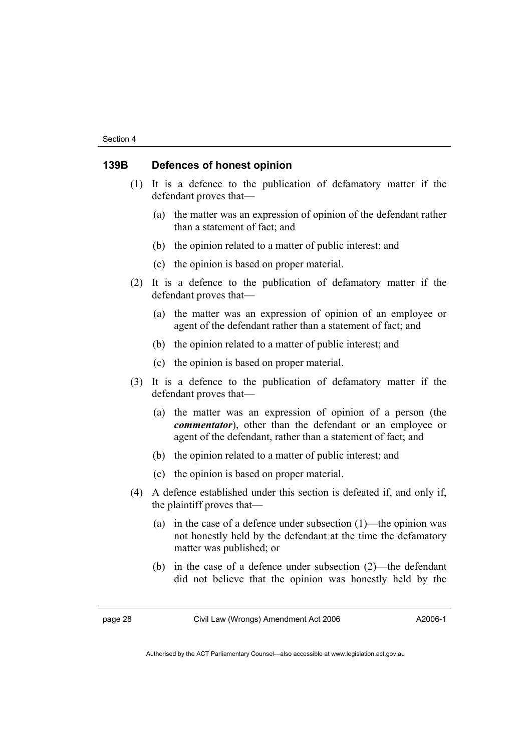#### **139B Defences of honest opinion**

- (1) It is a defence to the publication of defamatory matter if the defendant proves that—
	- (a) the matter was an expression of opinion of the defendant rather than a statement of fact; and
	- (b) the opinion related to a matter of public interest; and
	- (c) the opinion is based on proper material.
- (2) It is a defence to the publication of defamatory matter if the defendant proves that—
	- (a) the matter was an expression of opinion of an employee or agent of the defendant rather than a statement of fact; and
	- (b) the opinion related to a matter of public interest; and
	- (c) the opinion is based on proper material.
- (3) It is a defence to the publication of defamatory matter if the defendant proves that—
	- (a) the matter was an expression of opinion of a person (the *commentator*), other than the defendant or an employee or agent of the defendant, rather than a statement of fact; and
	- (b) the opinion related to a matter of public interest; and
	- (c) the opinion is based on proper material.
- (4) A defence established under this section is defeated if, and only if, the plaintiff proves that—
	- (a) in the case of a defence under subsection (1)—the opinion was not honestly held by the defendant at the time the defamatory matter was published; or
	- (b) in the case of a defence under subsection (2)—the defendant did not believe that the opinion was honestly held by the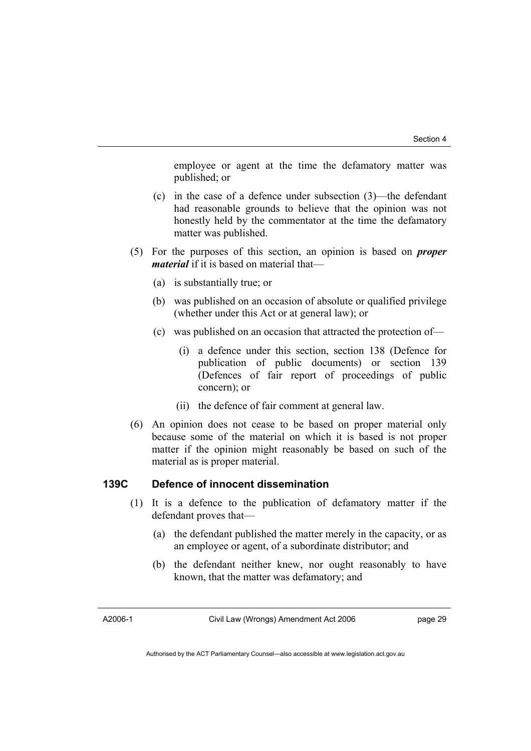employee or agent at the time the defamatory matter was published; or

- (c) in the case of a defence under subsection (3)—the defendant had reasonable grounds to believe that the opinion was not honestly held by the commentator at the time the defamatory matter was published.
- (5) For the purposes of this section, an opinion is based on *proper material* if it is based on material that—
	- (a) is substantially true; or
	- (b) was published on an occasion of absolute or qualified privilege (whether under this Act or at general law); or
	- (c) was published on an occasion that attracted the protection of—
		- (i) a defence under this section, section 138 (Defence for publication of public documents) or section 139 (Defences of fair report of proceedings of public concern); or
		- (ii) the defence of fair comment at general law.
- (6) An opinion does not cease to be based on proper material only because some of the material on which it is based is not proper matter if the opinion might reasonably be based on such of the material as is proper material.

## **139C Defence of innocent dissemination**

- (1) It is a defence to the publication of defamatory matter if the defendant proves that—
	- (a) the defendant published the matter merely in the capacity, or as an employee or agent, of a subordinate distributor; and
	- (b) the defendant neither knew, nor ought reasonably to have known, that the matter was defamatory; and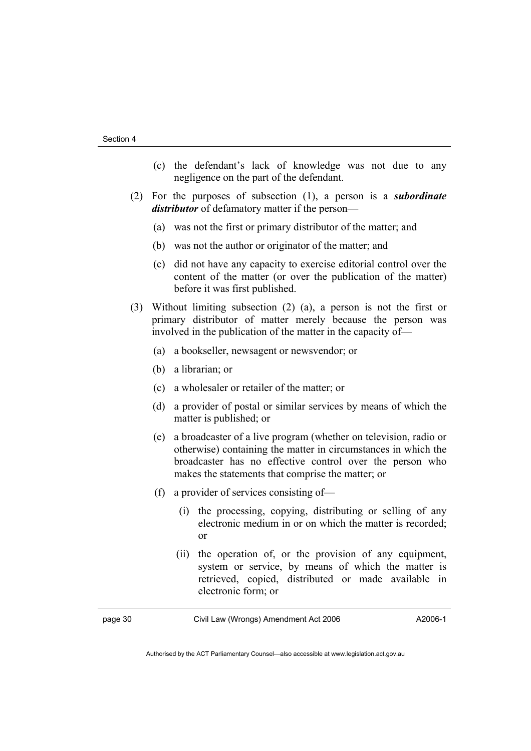- (c) the defendant's lack of knowledge was not due to any negligence on the part of the defendant.
- (2) For the purposes of subsection (1), a person is a *subordinate distributor* of defamatory matter if the person—
	- (a) was not the first or primary distributor of the matter; and
	- (b) was not the author or originator of the matter; and
	- (c) did not have any capacity to exercise editorial control over the content of the matter (or over the publication of the matter) before it was first published.
- (3) Without limiting subsection (2) (a), a person is not the first or primary distributor of matter merely because the person was involved in the publication of the matter in the capacity of—
	- (a) a bookseller, newsagent or newsvendor; or
	- (b) a librarian; or
	- (c) a wholesaler or retailer of the matter; or
	- (d) a provider of postal or similar services by means of which the matter is published; or
	- (e) a broadcaster of a live program (whether on television, radio or otherwise) containing the matter in circumstances in which the broadcaster has no effective control over the person who makes the statements that comprise the matter; or
	- (f) a provider of services consisting of—
		- (i) the processing, copying, distributing or selling of any electronic medium in or on which the matter is recorded; or
		- (ii) the operation of, or the provision of any equipment, system or service, by means of which the matter is retrieved, copied, distributed or made available in electronic form; or

| ıne<br>œ<br>г |  |
|---------------|--|
|---------------|--|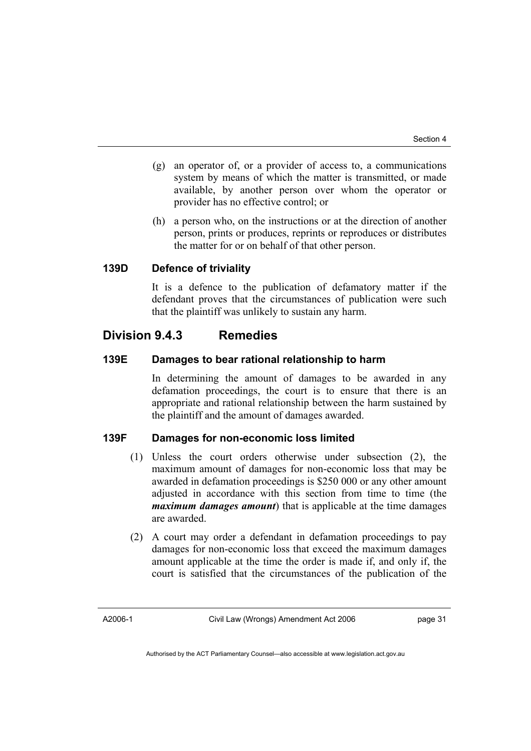- (g) an operator of, or a provider of access to, a communications system by means of which the matter is transmitted, or made available, by another person over whom the operator or provider has no effective control; or
- (h) a person who, on the instructions or at the direction of another person, prints or produces, reprints or reproduces or distributes the matter for or on behalf of that other person.

#### **139D Defence of triviality**

It is a defence to the publication of defamatory matter if the defendant proves that the circumstances of publication were such that the plaintiff was unlikely to sustain any harm.

## **Division 9.4.3 Remedies**

#### **139E Damages to bear rational relationship to harm**

In determining the amount of damages to be awarded in any defamation proceedings, the court is to ensure that there is an appropriate and rational relationship between the harm sustained by the plaintiff and the amount of damages awarded.

### **139F Damages for non-economic loss limited**

- (1) Unless the court orders otherwise under subsection (2), the maximum amount of damages for non-economic loss that may be awarded in defamation proceedings is \$250 000 or any other amount adjusted in accordance with this section from time to time (the *maximum damages amount*) that is applicable at the time damages are awarded.
- (2) A court may order a defendant in defamation proceedings to pay damages for non-economic loss that exceed the maximum damages amount applicable at the time the order is made if, and only if, the court is satisfied that the circumstances of the publication of the

A2006-1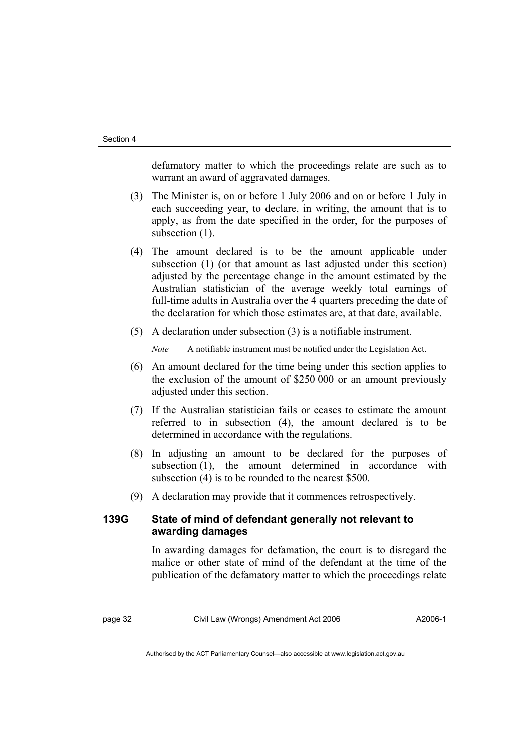defamatory matter to which the proceedings relate are such as to warrant an award of aggravated damages.

- (3) The Minister is, on or before 1 July 2006 and on or before 1 July in each succeeding year, to declare, in writing, the amount that is to apply, as from the date specified in the order, for the purposes of subsection  $(1)$ .
- (4) The amount declared is to be the amount applicable under subsection (1) (or that amount as last adjusted under this section) adjusted by the percentage change in the amount estimated by the Australian statistician of the average weekly total earnings of full-time adults in Australia over the 4 quarters preceding the date of the declaration for which those estimates are, at that date, available.
- (5) A declaration under subsection (3) is a notifiable instrument.

*Note* A notifiable instrument must be notified under the Legislation Act.

- (6) An amount declared for the time being under this section applies to the exclusion of the amount of \$250 000 or an amount previously adjusted under this section.
- (7) If the Australian statistician fails or ceases to estimate the amount referred to in subsection (4), the amount declared is to be determined in accordance with the regulations.
- (8) In adjusting an amount to be declared for the purposes of subsection (1), the amount determined in accordance with subsection (4) is to be rounded to the nearest \$500.
- (9) A declaration may provide that it commences retrospectively.

### **139G State of mind of defendant generally not relevant to awarding damages**

In awarding damages for defamation, the court is to disregard the malice or other state of mind of the defendant at the time of the publication of the defamatory matter to which the proceedings relate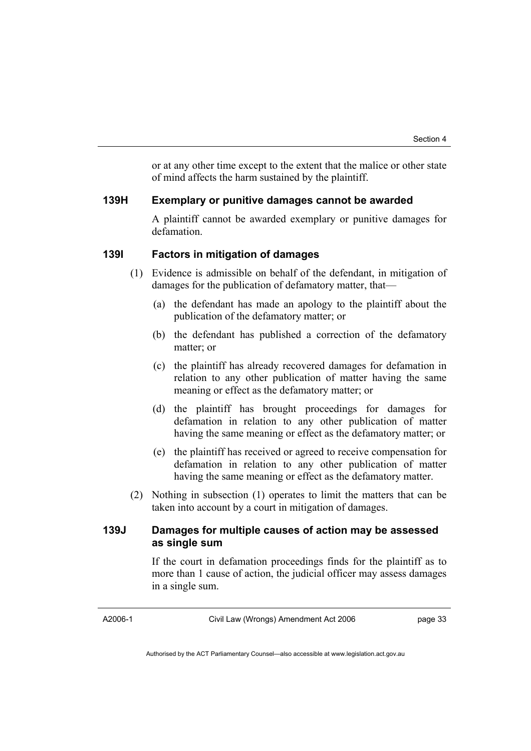or at any other time except to the extent that the malice or other state of mind affects the harm sustained by the plaintiff.

#### **139H Exemplary or punitive damages cannot be awarded**

A plaintiff cannot be awarded exemplary or punitive damages for defamation.

## **139I Factors in mitigation of damages**

- (1) Evidence is admissible on behalf of the defendant, in mitigation of damages for the publication of defamatory matter, that—
	- (a) the defendant has made an apology to the plaintiff about the publication of the defamatory matter; or
	- (b) the defendant has published a correction of the defamatory matter; or
	- (c) the plaintiff has already recovered damages for defamation in relation to any other publication of matter having the same meaning or effect as the defamatory matter; or
	- (d) the plaintiff has brought proceedings for damages for defamation in relation to any other publication of matter having the same meaning or effect as the defamatory matter; or
	- (e) the plaintiff has received or agreed to receive compensation for defamation in relation to any other publication of matter having the same meaning or effect as the defamatory matter.
- (2) Nothing in subsection (1) operates to limit the matters that can be taken into account by a court in mitigation of damages.

#### **139J Damages for multiple causes of action may be assessed as single sum**

If the court in defamation proceedings finds for the plaintiff as to more than 1 cause of action, the judicial officer may assess damages in a single sum.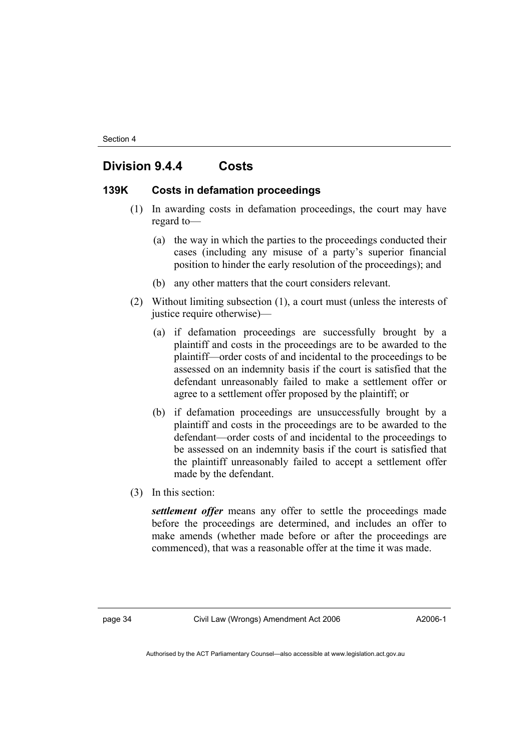## **Division 9.4.4 Costs**

#### **139K Costs in defamation proceedings**

- (1) In awarding costs in defamation proceedings, the court may have regard to—
	- (a) the way in which the parties to the proceedings conducted their cases (including any misuse of a party's superior financial position to hinder the early resolution of the proceedings); and
	- (b) any other matters that the court considers relevant.
- (2) Without limiting subsection (1), a court must (unless the interests of justice require otherwise)—
	- (a) if defamation proceedings are successfully brought by a plaintiff and costs in the proceedings are to be awarded to the plaintiff—order costs of and incidental to the proceedings to be assessed on an indemnity basis if the court is satisfied that the defendant unreasonably failed to make a settlement offer or agree to a settlement offer proposed by the plaintiff; or
	- (b) if defamation proceedings are unsuccessfully brought by a plaintiff and costs in the proceedings are to be awarded to the defendant—order costs of and incidental to the proceedings to be assessed on an indemnity basis if the court is satisfied that the plaintiff unreasonably failed to accept a settlement offer made by the defendant.
- (3) In this section:

*settlement offer* means any offer to settle the proceedings made before the proceedings are determined, and includes an offer to make amends (whether made before or after the proceedings are commenced), that was a reasonable offer at the time it was made.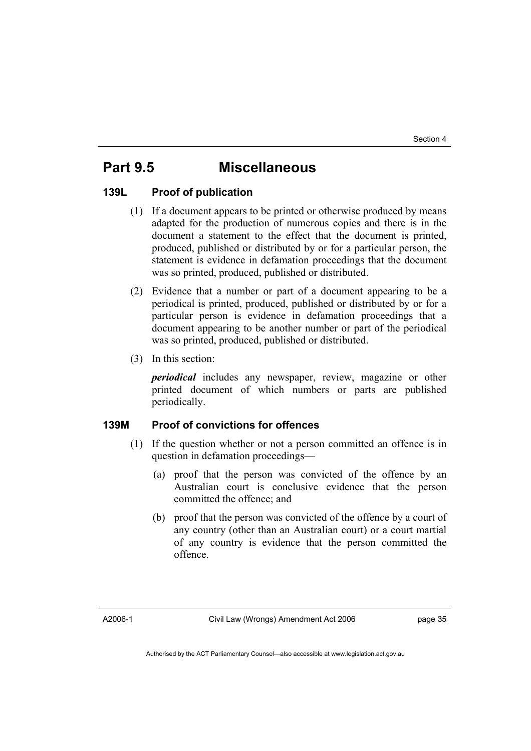## **Part 9.5 Miscellaneous**

#### **139L Proof of publication**

- (1) If a document appears to be printed or otherwise produced by means adapted for the production of numerous copies and there is in the document a statement to the effect that the document is printed, produced, published or distributed by or for a particular person, the statement is evidence in defamation proceedings that the document was so printed, produced, published or distributed.
- (2) Evidence that a number or part of a document appearing to be a periodical is printed, produced, published or distributed by or for a particular person is evidence in defamation proceedings that a document appearing to be another number or part of the periodical was so printed, produced, published or distributed.
- (3) In this section:

*periodical* includes any newspaper, review, magazine or other printed document of which numbers or parts are published periodically.

## **139M Proof of convictions for offences**

- (1) If the question whether or not a person committed an offence is in question in defamation proceedings—
	- (a) proof that the person was convicted of the offence by an Australian court is conclusive evidence that the person committed the offence; and
	- (b) proof that the person was convicted of the offence by a court of any country (other than an Australian court) or a court martial of any country is evidence that the person committed the offence.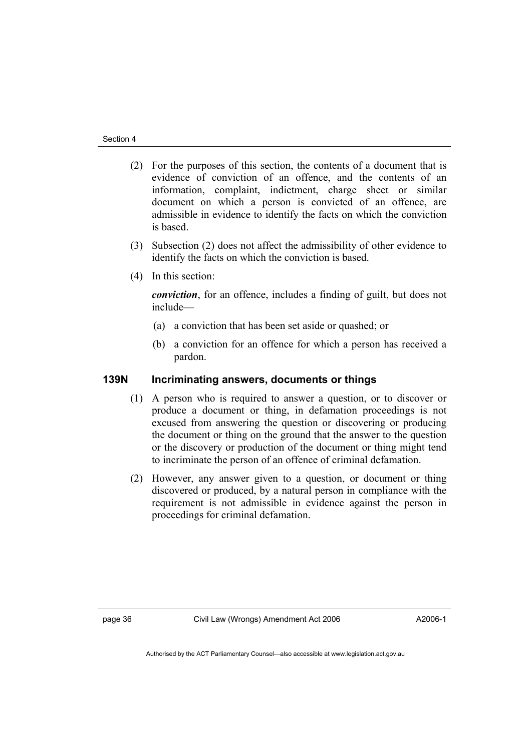- (2) For the purposes of this section, the contents of a document that is evidence of conviction of an offence, and the contents of an information, complaint, indictment, charge sheet or similar document on which a person is convicted of an offence, are admissible in evidence to identify the facts on which the conviction is based.
- (3) Subsection (2) does not affect the admissibility of other evidence to identify the facts on which the conviction is based.
- (4) In this section:

*conviction*, for an offence, includes a finding of guilt, but does not include—

- (a) a conviction that has been set aside or quashed; or
- (b) a conviction for an offence for which a person has received a pardon.

## **139N Incriminating answers, documents or things**

- (1) A person who is required to answer a question, or to discover or produce a document or thing, in defamation proceedings is not excused from answering the question or discovering or producing the document or thing on the ground that the answer to the question or the discovery or production of the document or thing might tend to incriminate the person of an offence of criminal defamation.
- (2) However, any answer given to a question, or document or thing discovered or produced, by a natural person in compliance with the requirement is not admissible in evidence against the person in proceedings for criminal defamation.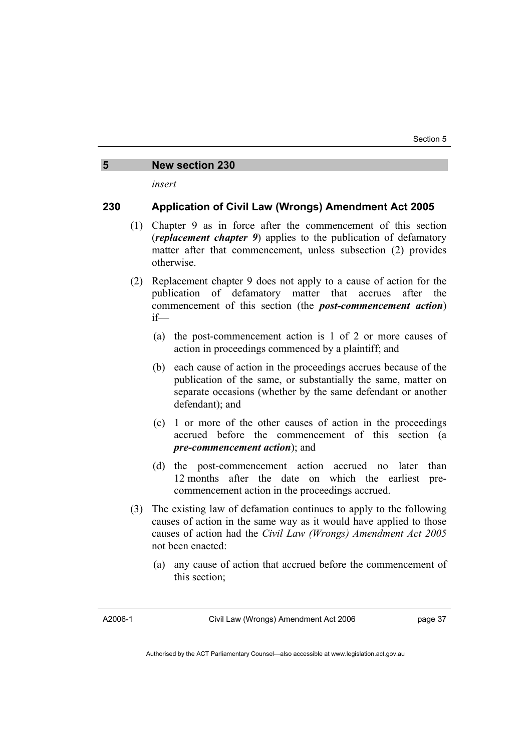#### **5 New section 230**

*insert* 

#### **230 Application of Civil Law (Wrongs) Amendment Act 2005**

- (1) Chapter 9 as in force after the commencement of this section (*replacement chapter 9*) applies to the publication of defamatory matter after that commencement, unless subsection (2) provides otherwise.
- (2) Replacement chapter 9 does not apply to a cause of action for the publication of defamatory matter that accrues after the commencement of this section (the *post-commencement action*) if—
	- (a) the post-commencement action is 1 of 2 or more causes of action in proceedings commenced by a plaintiff; and
	- (b) each cause of action in the proceedings accrues because of the publication of the same, or substantially the same, matter on separate occasions (whether by the same defendant or another defendant); and
	- (c) 1 or more of the other causes of action in the proceedings accrued before the commencement of this section (a *pre-commencement action*); and
	- (d) the post-commencement action accrued no later than 12 months after the date on which the earliest precommencement action in the proceedings accrued.
- (3) The existing law of defamation continues to apply to the following causes of action in the same way as it would have applied to those causes of action had the *Civil Law (Wrongs) Amendment Act 2005* not been enacted:
	- (a) any cause of action that accrued before the commencement of this section;

A2006-1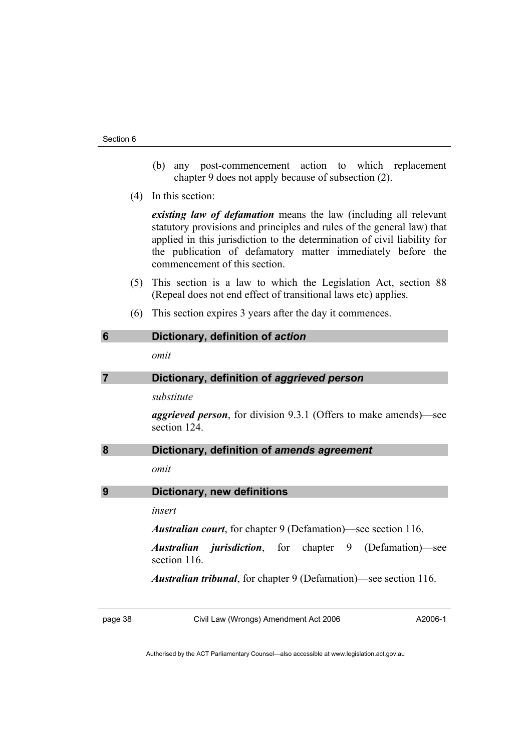- (b) any post-commencement action to which replacement chapter 9 does not apply because of subsection (2).
- (4) In this section:

*existing law of defamation* means the law (including all relevant statutory provisions and principles and rules of the general law) that applied in this jurisdiction to the determination of civil liability for the publication of defamatory matter immediately before the commencement of this section.

- (5) This section is a law to which the Legislation Act, section 88 (Repeal does not end effect of transitional laws etc) applies.
- (6) This section expires 3 years after the day it commences.

| 6 | Dictionary, definition of action                                                         |
|---|------------------------------------------------------------------------------------------|
|   | omit                                                                                     |
|   | Dictionary, definition of aggrieved person                                               |
|   | substitute                                                                               |
|   | <i>aggrieved person</i> , for division 9.3.1 (Offers to make amends)—see<br>section 124. |
| 8 | Dictionary, definition of amends agreement                                               |
|   | omit                                                                                     |
| 9 | Dictionary, new definitions                                                              |

#### *insert*

*Australian court*, for chapter 9 (Defamation)—see section 116.

*Australian jurisdiction*, for chapter 9 (Defamation)—see section 116.

*Australian tribunal*, for chapter 9 (Defamation)—see section 116.

page 38 Civil Law (Wrongs) Amendment Act 2006

A2006-1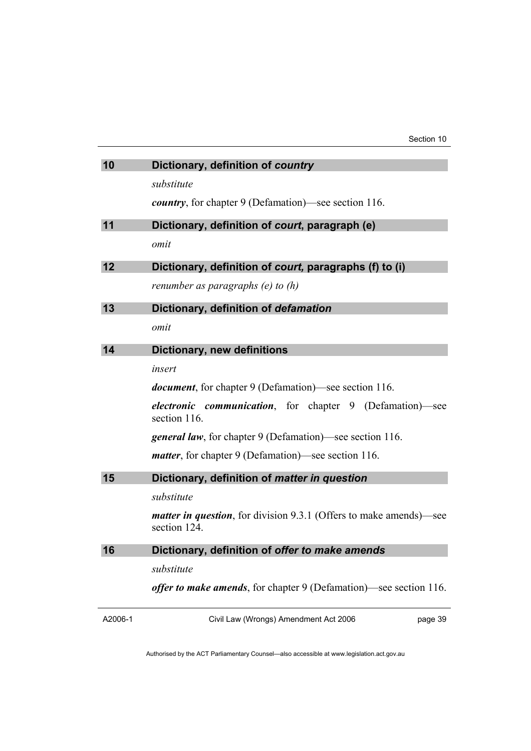| 10      | Dictionary, definition of country                                                          |
|---------|--------------------------------------------------------------------------------------------|
|         | substitute                                                                                 |
|         | <i>country</i> , for chapter 9 (Defamation)—see section 116.                               |
| 11      | Dictionary, definition of court, paragraph (e)                                             |
|         | omit                                                                                       |
| 12      | Dictionary, definition of court, paragraphs (f) to (i)                                     |
|         | renumber as paragraphs (e) to (h)                                                          |
| 13      | Dictionary, definition of defamation                                                       |
|         | omit                                                                                       |
| 14      | <b>Dictionary, new definitions</b>                                                         |
|         | insert                                                                                     |
|         | <i>document</i> , for chapter 9 (Defamation)—see section 116.                              |
|         | <i>electronic communication</i> , for chapter 9 (Defamation)—see<br>section 116.           |
|         | <b>general law</b> , for chapter 9 (Defamation)—see section 116.                           |
|         | <i>matter</i> , for chapter 9 (Defamation)—see section 116.                                |
| 15      | Dictionary, definition of matter in question                                               |
|         | substitute                                                                                 |
|         | <i>matter in question</i> , for division 9.3.1 (Offers to make amends)—see<br>section 124. |
| 16      | Dictionary, definition of offer to make amends                                             |
|         | substitute                                                                                 |
|         | <i>offer to make amends</i> , for chapter 9 (Defamation)—see section 116.                  |
| A2006-1 | Civil Law (Wrongs) Amendment Act 2006<br>page 39                                           |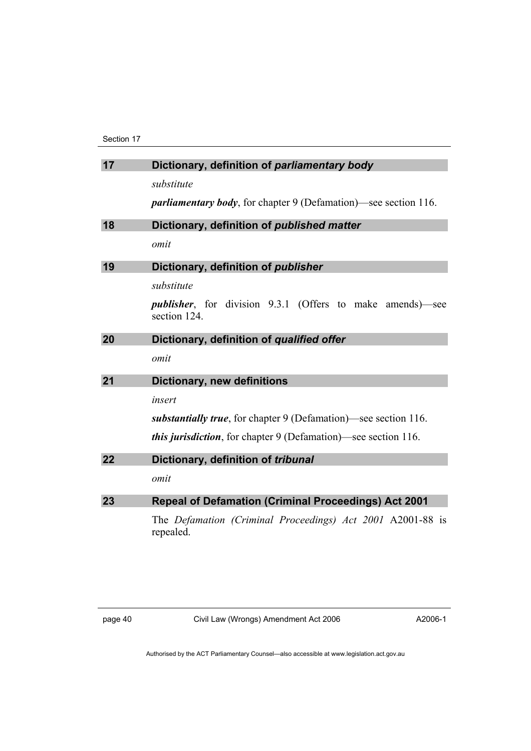Section 17

| 17 | Dictionary, definition of parliamentary body                                      |
|----|-----------------------------------------------------------------------------------|
|    | substitute                                                                        |
|    | <i>parliamentary body</i> , for chapter 9 (Defamation)—see section 116.           |
| 18 | Dictionary, definition of published matter                                        |
|    | omit                                                                              |
| 19 | Dictionary, definition of publisher                                               |
|    | substitute                                                                        |
|    | <i>publisher</i> , for division 9.3.1 (Offers to make amends)—see<br>section 124. |
| 20 | Dictionary, definition of qualified offer                                         |
|    | omit                                                                              |
| 21 | <b>Dictionary, new definitions</b>                                                |
|    | insert                                                                            |
|    | substantially true, for chapter 9 (Defamation)—see section 116.                   |
|    | <i>this jurisdiction</i> , for chapter 9 (Defamation)—see section 116.            |
| 22 | Dictionary, definition of tribunal                                                |
|    | omit                                                                              |
| 23 | <b>Repeal of Defamation (Criminal Proceedings) Act 2001</b>                       |
|    | The Defamation (Criminal Proceedings) Act 2001 A2001-88 is<br>repealed.           |

page 40 Civil Law (Wrongs) Amendment Act 2006

A2006-1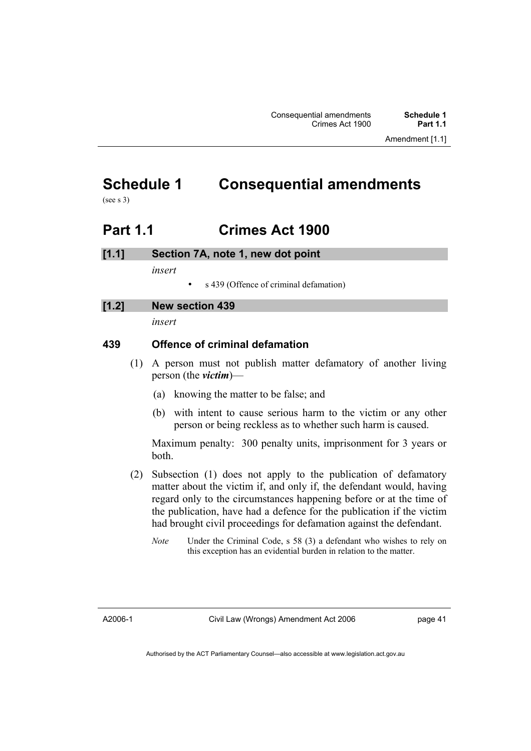# **Schedule 1 Consequential amendments**

(see s 3)

## **Part 1.1 Crimes Act 1900**

## **[1.1] Section 7A, note 1, new dot point**

*insert* 

• s 439 (Offence of criminal defamation)

## **[1.2] New section 439**

*insert* 

## **439 Offence of criminal defamation**

- (1) A person must not publish matter defamatory of another living person (the *victim*)—
	- (a) knowing the matter to be false; and
	- (b) with intent to cause serious harm to the victim or any other person or being reckless as to whether such harm is caused.

Maximum penalty: 300 penalty units, imprisonment for 3 years or both.

- (2) Subsection (1) does not apply to the publication of defamatory matter about the victim if, and only if, the defendant would, having regard only to the circumstances happening before or at the time of the publication, have had a defence for the publication if the victim had brought civil proceedings for defamation against the defendant.
	- *Note* Under the Criminal Code, s 58 (3) a defendant who wishes to rely on this exception has an evidential burden in relation to the matter.

A2006-1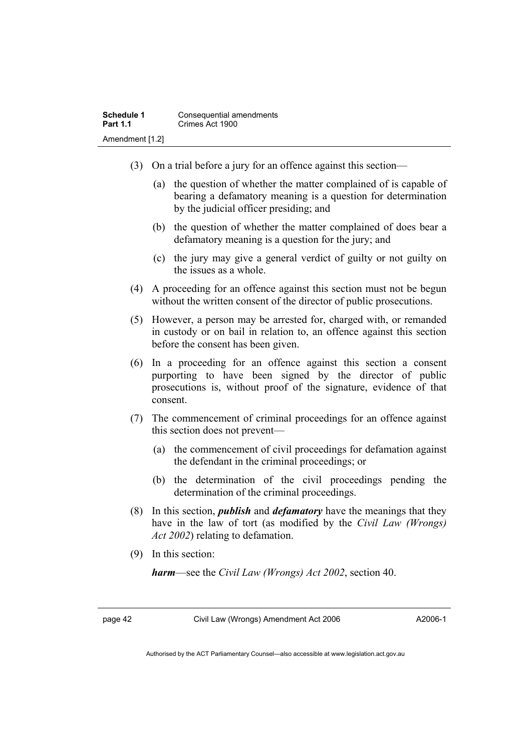- (3) On a trial before a jury for an offence against this section—
	- (a) the question of whether the matter complained of is capable of bearing a defamatory meaning is a question for determination by the judicial officer presiding; and
	- (b) the question of whether the matter complained of does bear a defamatory meaning is a question for the jury; and
	- (c) the jury may give a general verdict of guilty or not guilty on the issues as a whole.
- (4) A proceeding for an offence against this section must not be begun without the written consent of the director of public prosecutions.
- (5) However, a person may be arrested for, charged with, or remanded in custody or on bail in relation to, an offence against this section before the consent has been given.
- (6) In a proceeding for an offence against this section a consent purporting to have been signed by the director of public prosecutions is, without proof of the signature, evidence of that consent.
- (7) The commencement of criminal proceedings for an offence against this section does not prevent—
	- (a) the commencement of civil proceedings for defamation against the defendant in the criminal proceedings; or
	- (b) the determination of the civil proceedings pending the determination of the criminal proceedings.
- (8) In this section, *publish* and *defamatory* have the meanings that they have in the law of tort (as modified by the *Civil Law (Wrongs) Act 2002*) relating to defamation.
- (9) In this section:

*harm*—see the *Civil Law (Wrongs) Act 2002*, section 40.

page 42 Civil Law (Wrongs) Amendment Act 2006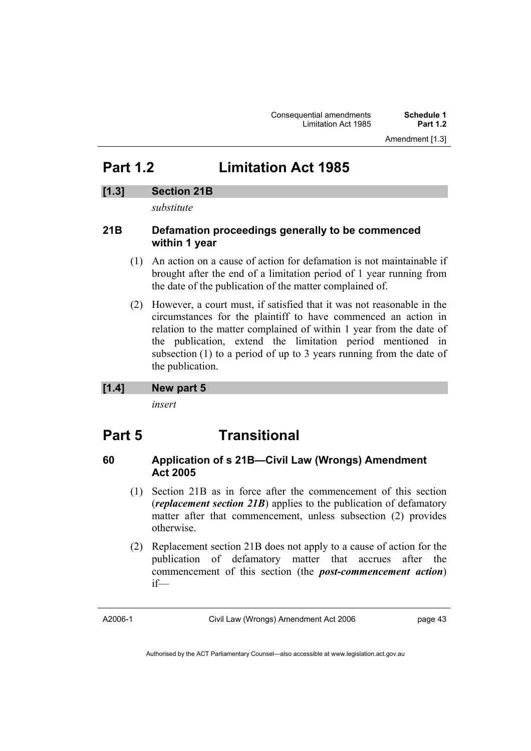## **Part 1.2 Limitation Act 1985**

## **[1.3] Section 21B**

*substitute* 

## **21B Defamation proceedings generally to be commenced within 1 year**

- (1) An action on a cause of action for defamation is not maintainable if brought after the end of a limitation period of 1 year running from the date of the publication of the matter complained of.
- (2) However, a court must, if satisfied that it was not reasonable in the circumstances for the plaintiff to have commenced an action in relation to the matter complained of within 1 year from the date of the publication, extend the limitation period mentioned in subsection (1) to a period of up to 3 years running from the date of the publication.

### **[1.4] New part 5**

*insert* 

## **Part 5 Transitional**

## **60 Application of s 21B—Civil Law (Wrongs) Amendment Act 2005**

- (1) Section 21B as in force after the commencement of this section (*replacement section 21B*) applies to the publication of defamatory matter after that commencement, unless subsection (2) provides otherwise.
- (2) Replacement section 21B does not apply to a cause of action for the publication of defamatory matter that accrues after the commencement of this section (the *post-commencement action*) if—

A2006-1

Civil Law (Wrongs) Amendment Act 2006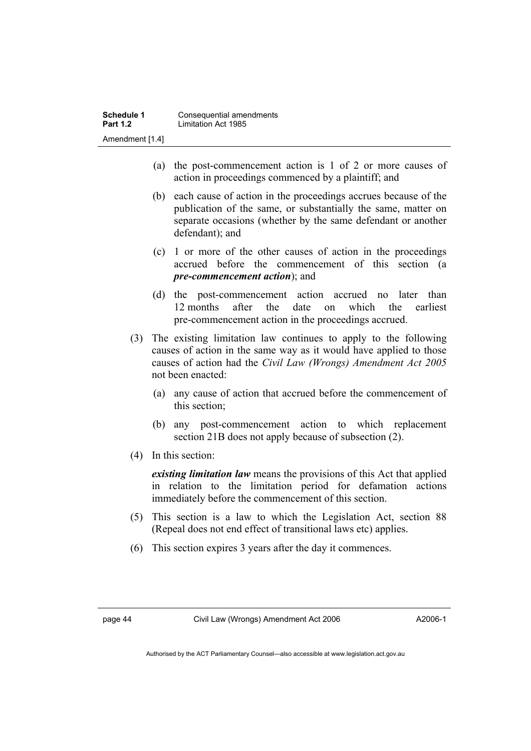- (a) the post-commencement action is 1 of 2 or more causes of action in proceedings commenced by a plaintiff; and
- (b) each cause of action in the proceedings accrues because of the publication of the same, or substantially the same, matter on separate occasions (whether by the same defendant or another defendant); and
- (c) 1 or more of the other causes of action in the proceedings accrued before the commencement of this section (a *pre-commencement action*); and
- (d) the post-commencement action accrued no later than 12 months after the date on which the earliest pre-commencement action in the proceedings accrued.
- (3) The existing limitation law continues to apply to the following causes of action in the same way as it would have applied to those causes of action had the *Civil Law (Wrongs) Amendment Act 2005* not been enacted:
	- (a) any cause of action that accrued before the commencement of this section;
	- (b) any post-commencement action to which replacement section 21B does not apply because of subsection (2).
- (4) In this section:

*existing limitation law* means the provisions of this Act that applied in relation to the limitation period for defamation actions immediately before the commencement of this section.

- (5) This section is a law to which the Legislation Act, section 88 (Repeal does not end effect of transitional laws etc) applies.
- (6) This section expires 3 years after the day it commences.